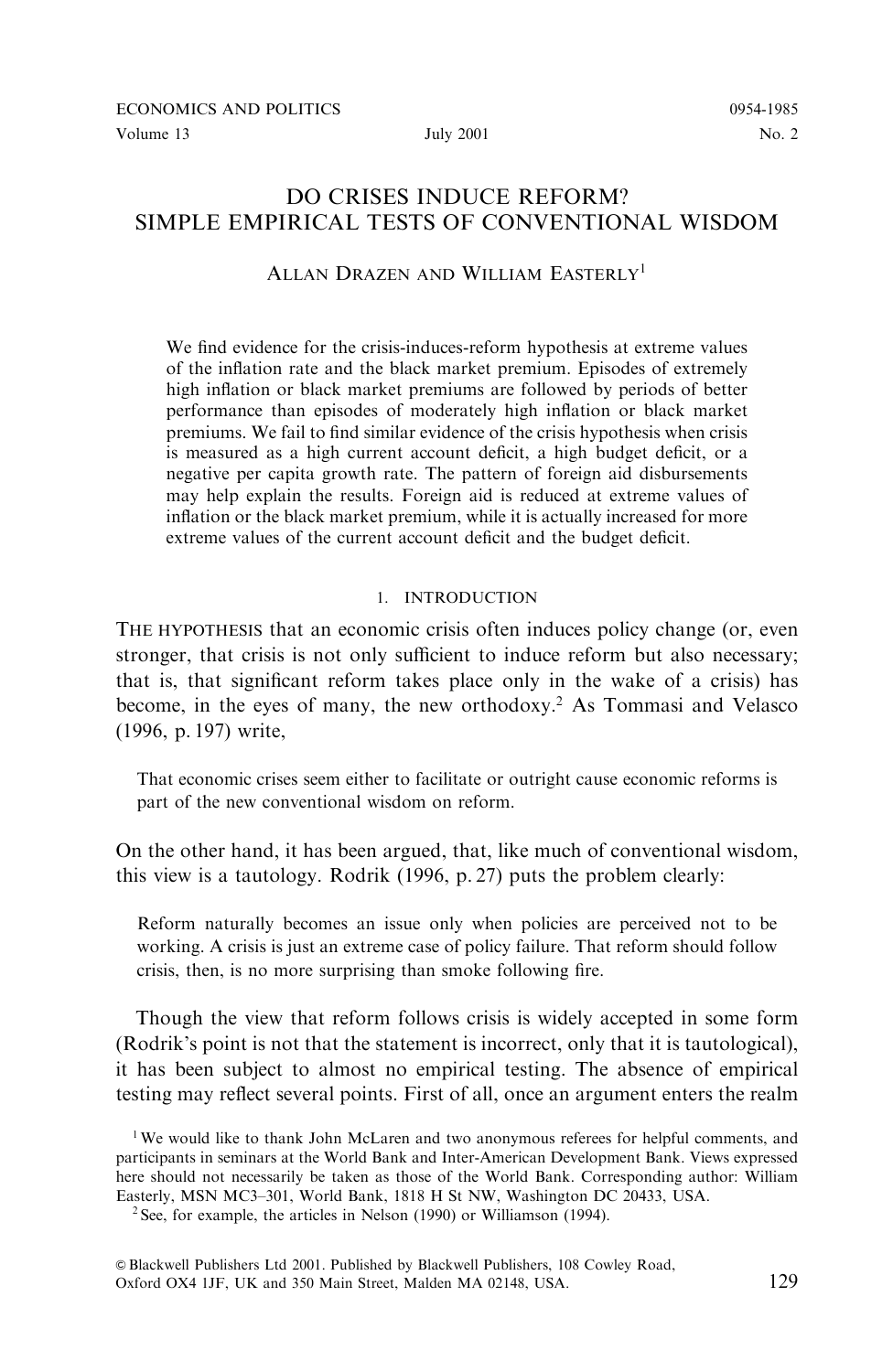### **July 2001**

# DO CRISES INDUCE REFORM? SIMPLE EMPIRICAL TESTS OF CONVENTIONAL WISDOM

# ALLAN DRAZEN AND WILLIAM EASTERLY<sup>1</sup>

We find evidence for the crisis-induces-reform hypothesis at extreme values of the inflation rate and the black market premium. Episodes of extremely high inflation or black market premiums are followed by periods of better performance than episodes of moderately high inflation or black market premiums. We fail to find similar evidence of the crisis hypothesis when crisis is measured as a high current account deficit, a high budget deficit, or a negative per capita growth rate. The pattern of foreign aid disbursements may help explain the results. Foreign aid is reduced at extreme values of inflation or the black market premium, while it is actually increased for more extreme values of the current account deficit and the budget deficit.

# 1 INTRODUCTION

THE HYPOTHESIS that an economic crisis often induces policy change (or, even stronger, that crisis is not only sufficient to induce reform but also necessary; that is, that significant reform takes place only in the wake of a crisis) has become, in the eyes of many, the new orthodoxy.<sup>2</sup> As Tommasi and Velasco (1996, p. 197) write.

That economic crises seem either to facilitate or outright cause economic reforms is part of the new conventional wisdom on reform.

On the other hand, it has been argued, that, like much of conventional wisdom, this view is a tautology. Rodrik (1996, p. 27) puts the problem clearly:

Reform naturally becomes an issue only when policies are perceived not to be working. A crisis is just an extreme case of policy failure. That reform should follow crisis, then, is no more surprising than smoke following fire.

Though the view that reform follows crisis is widely accepted in some form (Rodrik's point is not that the statement is incorrect, only that it is tautological), it has been subject to almost no empirical testing. The absence of empirical testing may reflect several points. First of all, once an argument enters the realm

<sup>&</sup>lt;sup>1</sup>We would like to thank John McLaren and two anonymous referees for helpful comments, and participants in seminars at the World Bank and Inter-American Development Bank. Views expressed here should not necessarily be taken as those of the World Bank. Corresponding author: William Easterly, MSN MC3-301, World Bank, 1818 H St NW, Washington DC 20433, USA.

 $2$  See, for example, the articles in Nelson (1990) or Williamson (1994).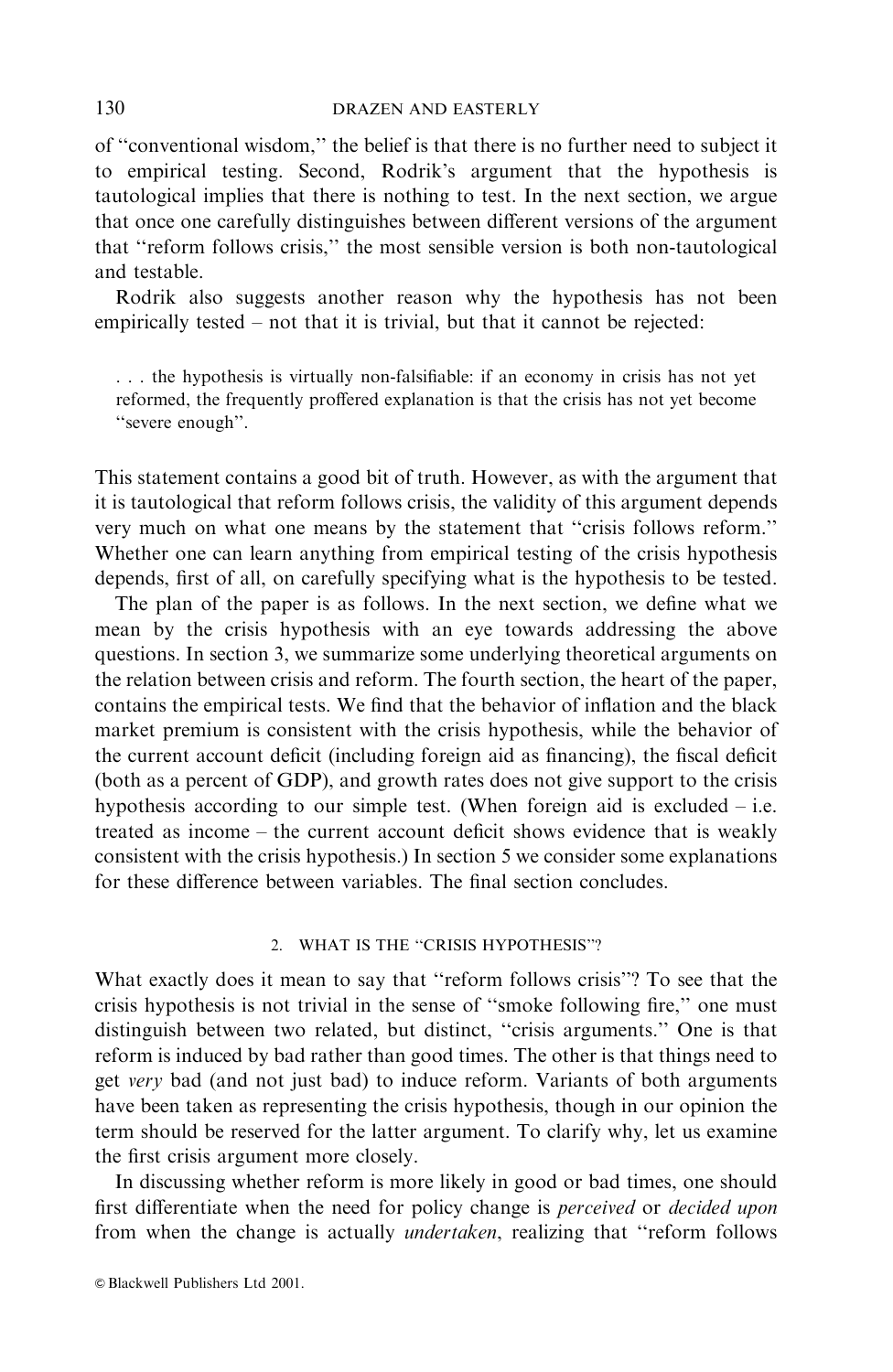of "conventional wisdom," the belief is that there is no further need to subject it to empirical testing. Second, Rodrik's argument that the hypothesis is tautological implies that there is nothing to test. In the next section, we argue that once one carefully distinguishes between different versions of the argument that "reform follows crisis," the most sensible version is both non-tautological and testable.

Rodrik also suggests another reason why the hypothesis has not been empirically tested – not that it is trivial, but that it cannot be rejected:

... the hypothesis is virtually non-falsifiable: if an economy in crisis has not yet reformed, the frequently proffered explanation is that the crisis has not yet become "severe enough".

This statement contains a good bit of truth. However, as with the argument that it is tautological that reform follows crisis, the validity of this argument depends very much on what one means by the statement that "crisis follows reform." Whether one can learn anything from empirical testing of the crisis hypothesis depends, first of all, on carefully specifying what is the hypothesis to be tested.

The plan of the paper is as follows. In the next section, we define what we mean by the crisis hypothesis with an eye towards addressing the above questions. In section 3, we summarize some underlying theoretical arguments on the relation between crisis and reform. The fourth section, the heart of the paper, contains the empirical tests. We find that the behavior of inflation and the black market premium is consistent with the crisis hypothesis, while the behavior of the current account deficit (including foreign aid as financing), the fiscal deficit (both as a percent of GDP), and growth rates does not give support to the crisis hypothesis according to our simple test. (When foreign aid is excluded  $-$  i.e. treated as income – the current account deficit shows evidence that is weakly consistent with the crisis hypothesis.) In section 5 we consider some explanations for these difference between variables. The final section concludes.

### 2. WHAT IS THE "CRISIS HYPOTHESIS"?

What exactly does it mean to say that "reform follows crisis"? To see that the crisis hypothesis is not trivial in the sense of "smoke following fire," one must distinguish between two related, but distinct, "crisis arguments." One is that reform is induced by bad rather than good times. The other is that things need to get very bad (and not just bad) to induce reform. Variants of both arguments have been taken as representing the crisis hypothesis, though in our opinion the term should be reserved for the latter argument. To clarify why, let us examine the first crisis argument more closely.

In discussing whether reform is more likely in good or bad times, one should first differentiate when the need for policy change is *perceived* or *decided upon* from when the change is actually *undertaken*, realizing that "reform follows"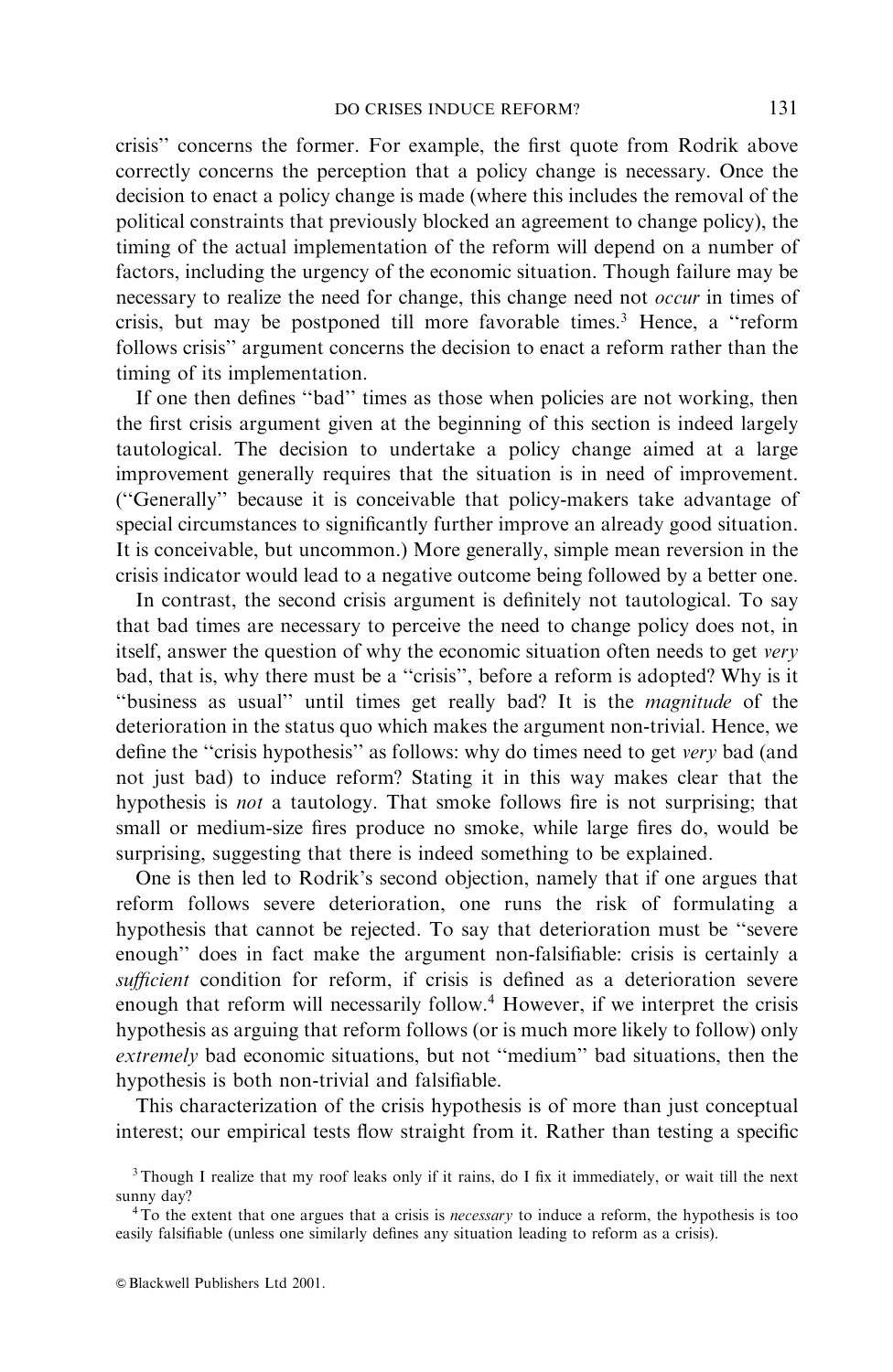crisis" concerns the former. For example, the first quote from Rodrik above correctly concerns the perception that a policy change is necessary. Once the decision to enact a policy change is made (where this includes the removal of the political constraints that previously blocked an agreement to change policy), the timing of the actual implementation of the reform will depend on a number of factors, including the urgency of the economic situation. Though failure may be necessary to realize the need for change, this change need not *occur* in times of crisis, but may be postponed till more favorable times.<sup>3</sup> Hence, a "reform follows crisis" argument concerns the decision to enact a reform rather than the timing of its implementation.

If one then defines "bad" times as those when policies are not working, then the first crisis argument given at the beginning of this section is indeed largely tautological. The decision to undertake a policy change aimed at a large improvement generally requires that the situation is in need of improvement. ("Generally" because it is conceivable that policy-makers take advantage of special circumstances to significantly further improve an already good situation. It is conceivable, but uncommon.) More generally, simple mean reversion in the crisis indicator would lead to a negative outcome being followed by a better one.

In contrast, the second crisis argument is definitely not tautological. To say that bad times are necessary to perceive the need to change policy does not, in itself, answer the question of why the economic situation often needs to get very bad, that is, why there must be a "crisis", before a reform is adopted? Why is it "business as usual" until times get really bad? It is the *magnitude* of the deterioration in the status quo which makes the argument non-trivial. Hence, we define the "crisis hypothesis" as follows: why do times need to get very bad (and not just bad) to induce reform? Stating it in this way makes clear that the hypothesis is *not* a tautology. That smoke follows fire is not surprising; that small or medium-size fires produce no smoke, while large fires do, would be surprising, suggesting that there is indeed something to be explained.

One is then led to Rodrik's second objection, namely that if one argues that reform follows severe deterioration, one runs the risk of formulating a hypothesis that cannot be rejected. To say that deterioration must be "severe" enough" does in fact make the argument non-falsifiable: crisis is certainly a sufficient condition for reform, if crisis is defined as a deterioration severe enough that reform will necessarily follow.<sup>4</sup> However, if we interpret the crisis hypothesis as arguing that reform follows (or is much more likely to follow) only *extremely* bad economic situations, but not "medium" bad situations, then the hypothesis is both non-trivial and falsifiable.

This characterization of the crisis hypothesis is of more than just conceptual interest; our empirical tests flow straight from it. Rather than testing a specific

<sup>&</sup>lt;sup>3</sup>Though I realize that my roof leaks only if it rains, do I fix it immediately, or wait till the next sunny day?

 $4$ To the extent that one argues that a crisis is *necessary* to induce a reform, the hypothesis is too easily falsifiable (unless one similarly defines any situation leading to reform as a crisis).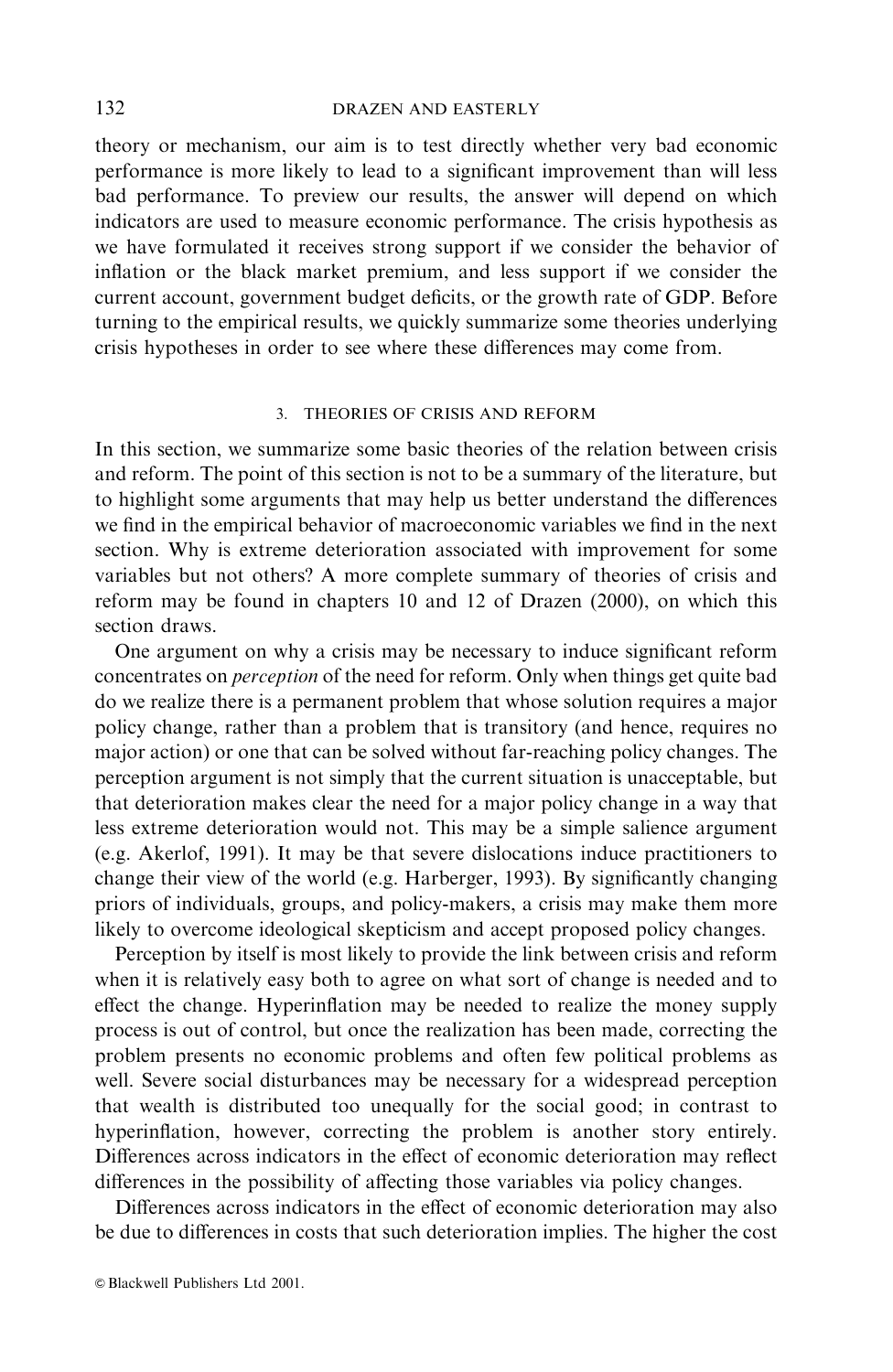### **DRAZEN AND EASTERLY**

theory or mechanism, our aim is to test directly whether very bad economic performance is more likely to lead to a significant improvement than will less bad performance. To preview our results, the answer will depend on which indicators are used to measure economic performance. The crisis hypothesis as we have formulated it receives strong support if we consider the behavior of inflation or the black market premium, and less support if we consider the current account, government budget deficits, or the growth rate of GDP. Before turning to the empirical results, we quickly summarize some theories underlying crisis hypotheses in order to see where these differences may come from.

### 3. THEORIES OF CRISIS AND REFORM

In this section, we summarize some basic theories of the relation between crisis and reform. The point of this section is not to be a summary of the literature, but to highlight some arguments that may help us better understand the differences we find in the empirical behavior of macroeconomic variables we find in the next section. Why is extreme deterioration associated with improvement for some variables but not others? A more complete summary of theories of crisis and reform may be found in chapters 10 and 12 of Drazen (2000), on which this section draws.

One argument on why a crisis may be necessary to induce significant reform concentrates on *perception* of the need for reform. Only when things get quite bad do we realize there is a permanent problem that whose solution requires a major policy change, rather than a problem that is transitory (and hence, requires no major action) or one that can be solved without far-reaching policy changes. The perception argument is not simply that the current situation is unacceptable, but that deterioration makes clear the need for a major policy change in a way that less extreme deterioration would not. This may be a simple salience argument (e.g. Akerlof, 1991). It may be that severe dislocations induce practitioners to change their view of the world (e.g. Harberger, 1993). By significantly changing priors of individuals, groups, and policy-makers, a crisis may make them more likely to overcome ideological skepticism and accept proposed policy changes.

Perception by itself is most likely to provide the link between crisis and reform when it is relatively easy both to agree on what sort of change is needed and to effect the change. Hyperinflation may be needed to realize the money supply process is out of control, but once the realization has been made, correcting the problem presents no economic problems and often few political problems as well. Severe social disturbances may be necessary for a widespread perception that wealth is distributed too unequally for the social good; in contrast to hyperinflation, however, correcting the problem is another story entirely. Differences across indicators in the effect of economic deterioration may reflect differences in the possibility of affecting those variables via policy changes.

Differences across indicators in the effect of economic deterioration may also be due to differences in costs that such deterioration implies. The higher the cost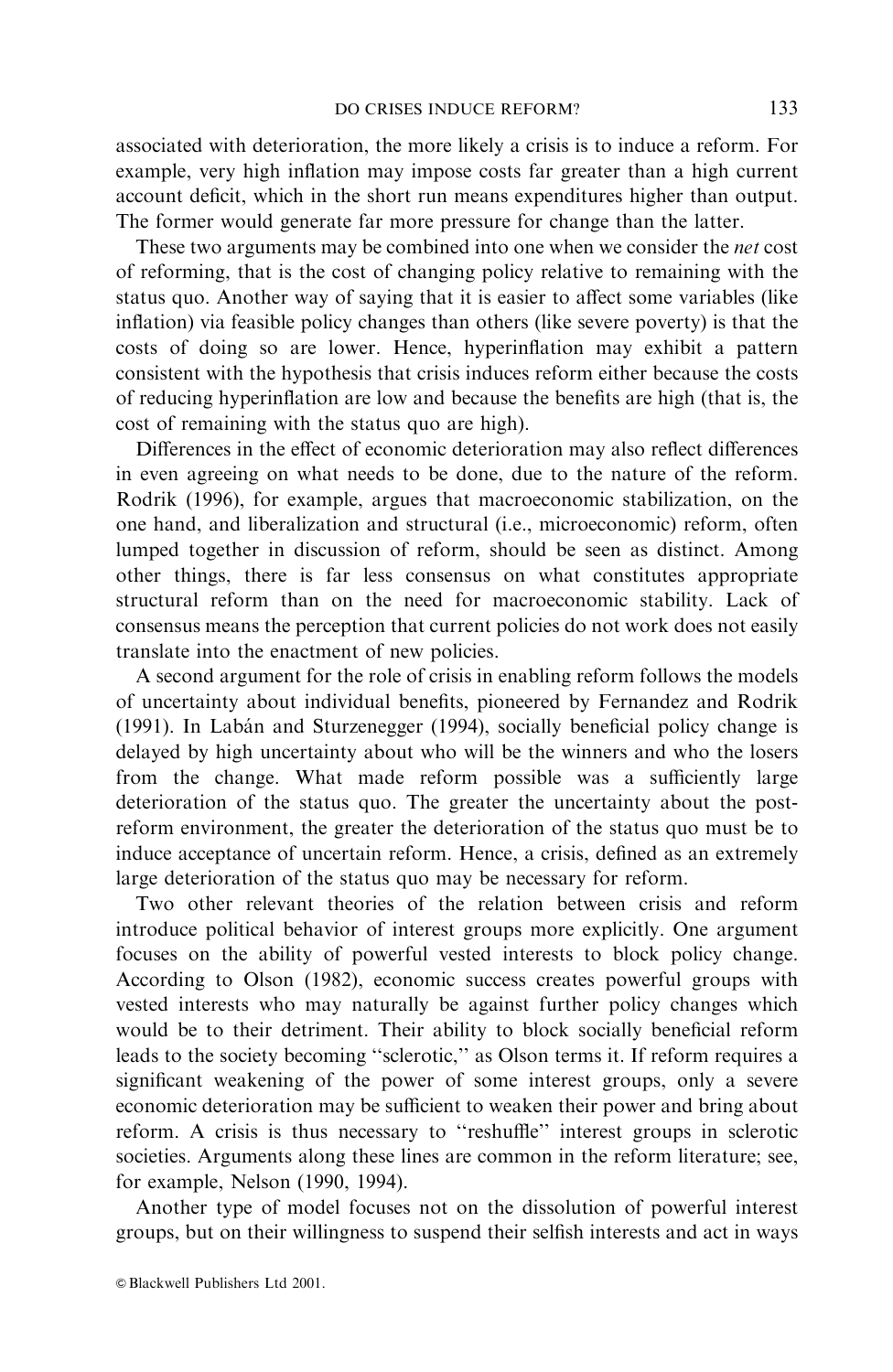associated with deterioration, the more likely a crisis is to induce a reform. For example, very high inflation may impose costs far greater than a high current account deficit, which in the short run means expenditures higher than output. The former would generate far more pressure for change than the latter.

These two arguments may be combined into one when we consider the *net* cost of reforming, that is the cost of changing policy relative to remaining with the status quo. Another way of saying that it is easier to affect some variables (like inflation) via feasible policy changes than others (like severe poverty) is that the costs of doing so are lower. Hence, hyperinflation may exhibit a pattern consistent with the hypothesis that crisis induces reform either because the costs of reducing hyperinflation are low and because the benefits are high (that is, the cost of remaining with the status quo are high).

Differences in the effect of economic deterioration may also reflect differences in even agreeing on what needs to be done, due to the nature of the reform. Rodrik (1996), for example, argues that macroeconomic stabilization, on the one hand, and liberalization and structural (i.e., microeconomic) reform, often lumped together in discussion of reform, should be seen as distinct. Among other things, there is far less consensus on what constitutes appropriate structural reform than on the need for macroeconomic stability. Lack of consensus means the perception that current policies do not work does not easily translate into the enactment of new policies.

A second argument for the role of crisis in enabling reform follows the models of uncertainty about individual benefits, pioneered by Fernandez and Rodrik (1991). In Labán and Sturzenegger (1994), socially beneficial policy change is delayed by high uncertainty about who will be the winners and who the losers from the change. What made reform possible was a sufficiently large deterioration of the status quo. The greater the uncertainty about the postreform environment, the greater the deterioration of the status quo must be to induce acceptance of uncertain reform. Hence, a crisis, defined as an extremely large deterioration of the status quo may be necessary for reform.

Two other relevant theories of the relation between crisis and reform introduce political behavior of interest groups more explicitly. One argument focuses on the ability of powerful vested interests to block policy change. According to Olson (1982), economic success creates powerful groups with vested interests who may naturally be against further policy changes which would be to their detriment. Their ability to block socially beneficial reform leads to the society becoming "sclerotic," as Olson terms it. If reform requires a significant weakening of the power of some interest groups, only a severe economic deterioration may be sufficient to weaken their power and bring about reform. A crisis is thus necessary to "reshuffle" interest groups in sclerotic societies. Arguments along these lines are common in the reform literature; see, for example, Nelson (1990, 1994).

Another type of model focuses not on the dissolution of powerful interest groups, but on their willingness to suspend their selfish interests and act in ways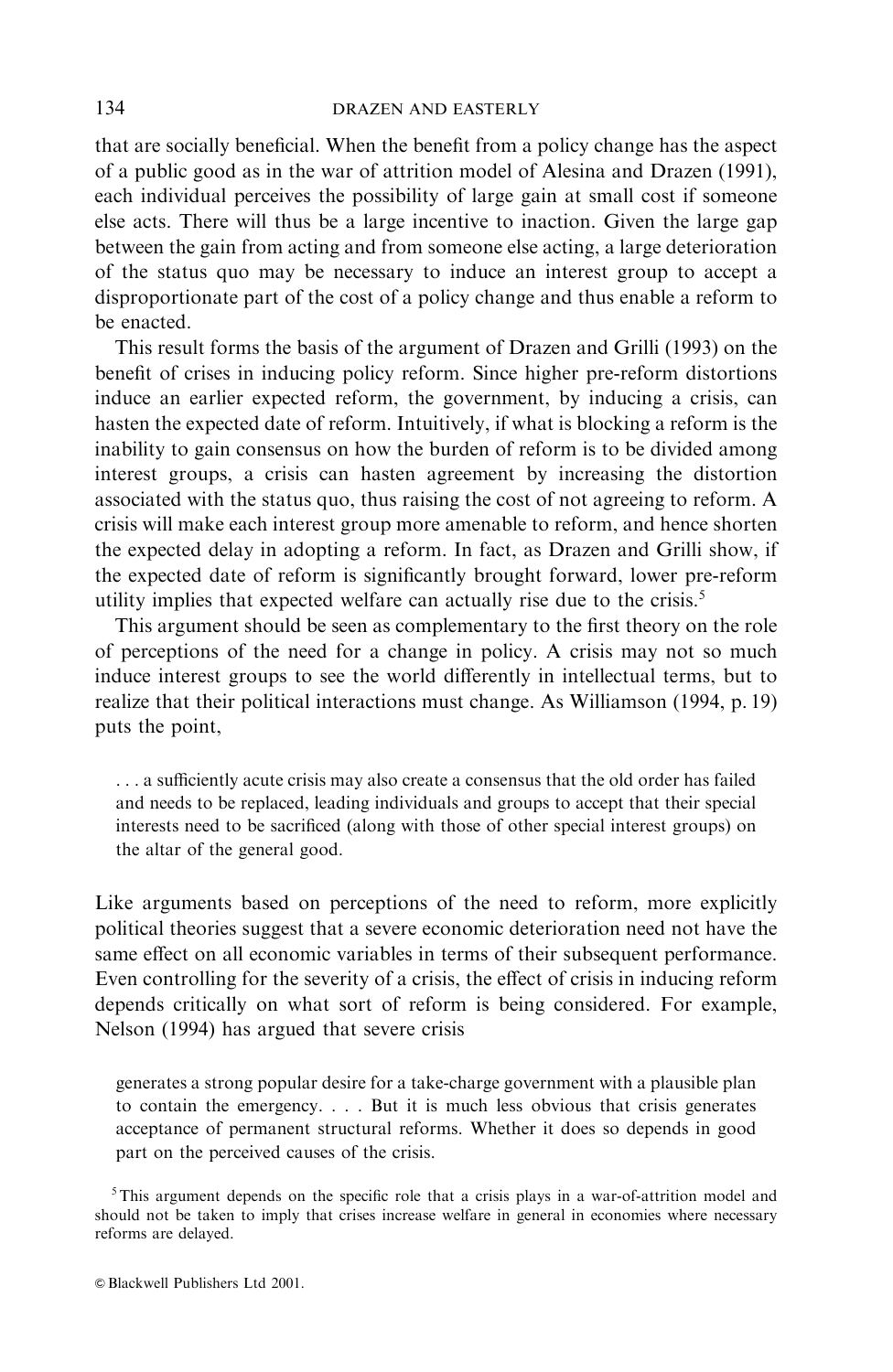that are socially beneficial. When the benefit from a policy change has the aspect of a public good as in the war of attrition model of Alesina and Drazen (1991), each individual perceives the possibility of large gain at small cost if someone else acts. There will thus be a large incentive to inaction. Given the large gap between the gain from acting and from someone else acting, a large deterioration of the status quo may be necessary to induce an interest group to accept a disproportionate part of the cost of a policy change and thus enable a reform to be enacted.

This result forms the basis of the argument of Drazen and Grilli (1993) on the benefit of crises in inducing policy reform. Since higher pre-reform distortions induce an earlier expected reform, the government, by inducing a crisis, can hasten the expected date of reform. Intuitively, if what is blocking a reform is the inability to gain consensus on how the burden of reform is to be divided among interest groups, a crisis can hasten agreement by increasing the distortion associated with the status quo, thus raising the cost of not agreeing to reform. A crisis will make each interest group more amenable to reform, and hence shorten the expected delay in adopting a reform. In fact, as Drazen and Grilli show, if the expected date of reform is significantly brought forward, lower pre-reform utility implies that expected welfare can actually rise due to the crisis.<sup>5</sup>

This argument should be seen as complementary to the first theory on the role of perceptions of the need for a change in policy. A crisis may not so much induce interest groups to see the world differently in intellectual terms, but to realize that their political interactions must change. As Williamson (1994, p. 19) puts the point,

... a sufficiently acute crisis may also create a consensus that the old order has failed and needs to be replaced, leading individuals and groups to accept that their special interests need to be sacrificed (along with those of other special interest groups) on the altar of the general good.

Like arguments based on perceptions of the need to reform, more explicitly political theories suggest that a severe economic deterioration need not have the same effect on all economic variables in terms of their subsequent performance. Even controlling for the severity of a crisis, the effect of crisis in inducing reform depends critically on what sort of reform is being considered. For example, Nelson (1994) has argued that severe crisis

generates a strong popular desire for a take-charge government with a plausible plan to contain the emergency.... But it is much less obvious that crisis generates acceptance of permanent structural reforms. Whether it does so depends in good part on the perceived causes of the crisis.

 $5$ This argument depends on the specific role that a crisis plays in a war-of-attrition model and should not be taken to imply that crises increase welfare in general in economies where necessary reforms are delayed.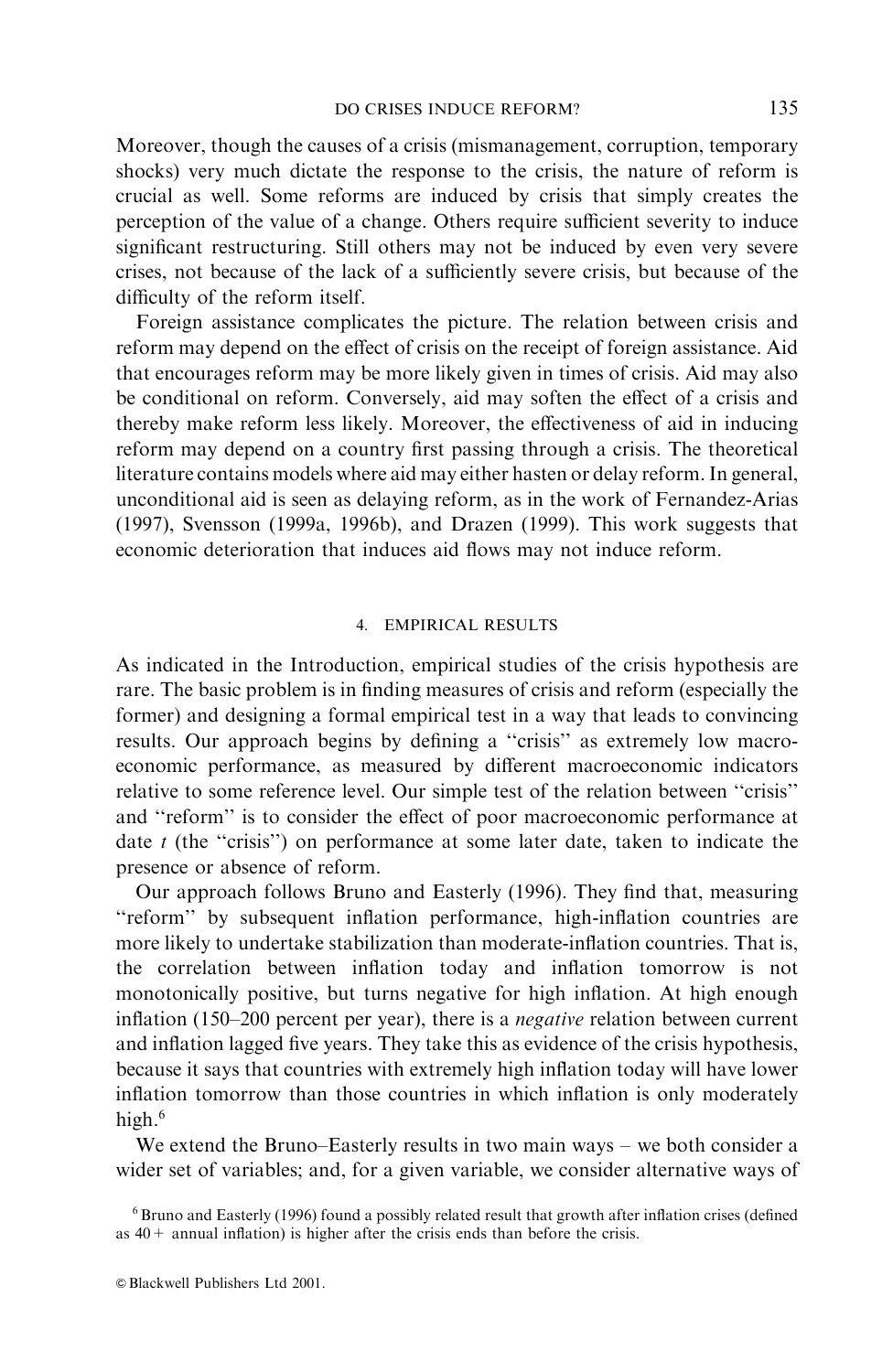Moreover, though the causes of a crisis (mismanagement, corruption, temporary shocks) very much dictate the response to the crisis, the nature of reform is crucial as well. Some reforms are induced by crisis that simply creates the perception of the value of a change. Others require sufficient severity to induce significant restructuring. Still others may not be induced by even very severe crises, not because of the lack of a sufficiently severe crisis, but because of the difficulty of the reform itself.

Foreign assistance complicates the picture. The relation between crisis and reform may depend on the effect of crisis on the receipt of foreign assistance. Aid that encourages reform may be more likely given in times of crisis. Aid may also be conditional on reform. Conversely, aid may soften the effect of a crisis and thereby make reform less likely. Moreover, the effectiveness of aid in inducing reform may depend on a country first passing through a crisis. The theoretical literature contains models where aid may either hasten or delay reform. In general, unconditional aid is seen as delaying reform, as in the work of Fernandez-Arias (1997), Svensson (1999a, 1996b), and Drazen (1999). This work suggests that economic deterioration that induces aid flows may not induce reform.

## 4. EMPIRICAL RESULTS

As indicated in the Introduction, empirical studies of the crisis hypothesis are rare. The basic problem is in finding measures of crisis and reform (especially the former) and designing a formal empirical test in a way that leads to convincing results. Our approach begins by defining a "crisis" as extremely low macroeconomic performance, as measured by different macroeconomic indicators relative to some reference level. Our simple test of the relation between "crisis" and "reform" is to consider the effect of poor macroeconomic performance at date  $t$  (the "crisis") on performance at some later date, taken to indicate the presence or absence of reform.

Our approach follows Bruno and Easterly (1996). They find that, measuring "reform" by subsequent inflation performance, high-inflation countries are more likely to undertake stabilization than moderate-inflation countries. That is, the correlation between inflation today and inflation tomorrow is not monotonically positive, but turns negative for high inflation. At high enough inflation (150–200 percent per year), there is a *negative* relation between current and inflation lagged five years. They take this as evidence of the crisis hypothesis, because it says that countries with extremely high inflation today will have lower inflation tomorrow than those countries in which inflation is only moderately high.<sup>6</sup>

We extend the Bruno–Easterly results in two main ways – we both consider a wider set of variables; and, for a given variable, we consider alternative ways of

 $6$  Bruno and Easterly (1996) found a possibly related result that growth after inflation crises (defined as  $40+$  annual inflation) is higher after the crisis ends than before the crisis.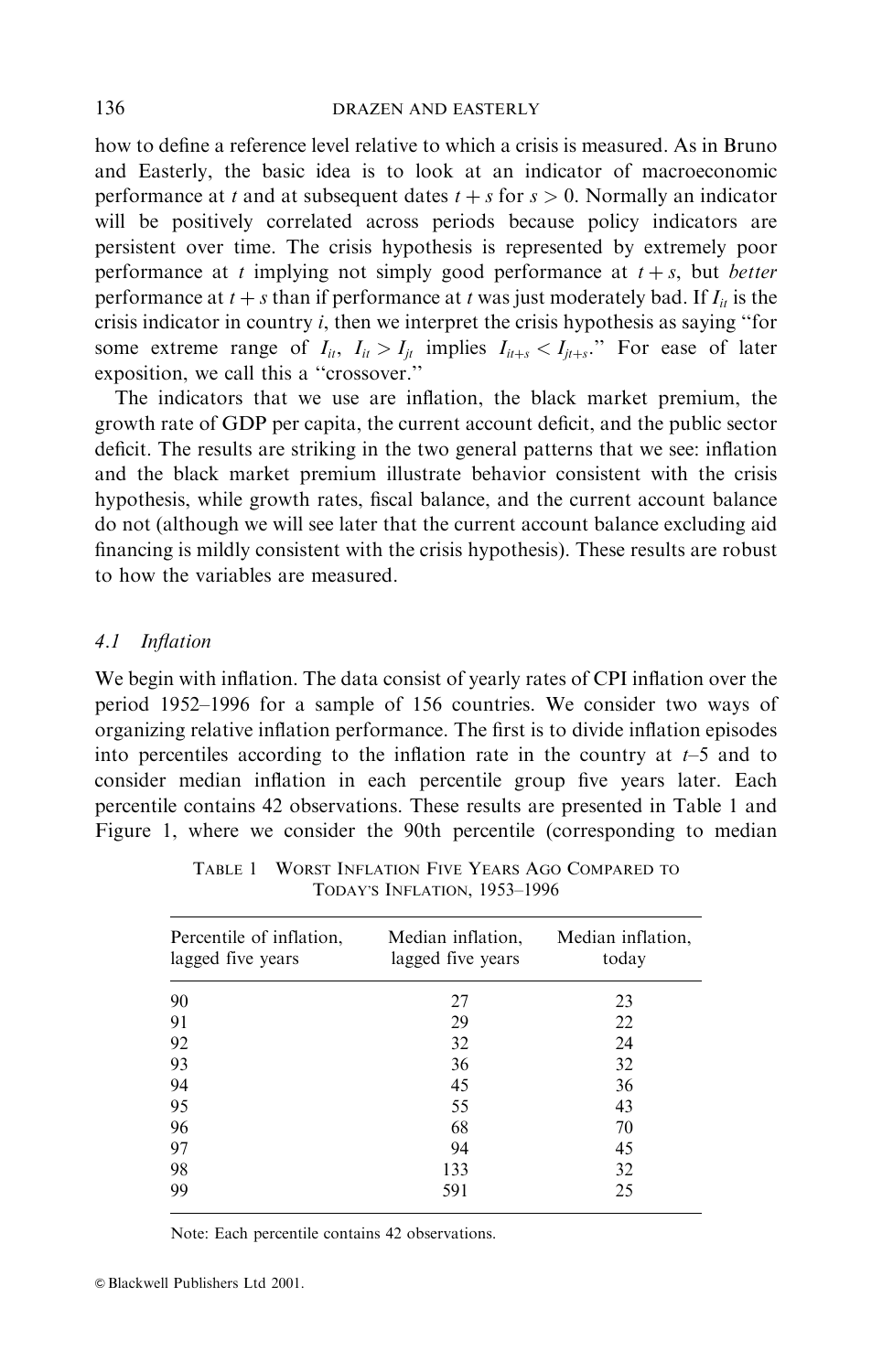how to define a reference level relative to which a crisis is measured. As in Bruno and Easterly, the basic idea is to look at an indicator of macroeconomic performance at t and at subsequent dates  $t + s$  for  $s > 0$ . Normally an indicator will be positively correlated across periods because policy indicators are persistent over time. The crisis hypothesis is represented by extremely poor performance at t implying not simply good performance at  $t + s$ , but *better* performance at  $t + s$  than if performance at t was just moderately bad. If  $I_{it}$  is the crisis indicator in country  $i$ , then we interpret the crisis hypothesis as saying "for some extreme range of  $I_{ii}$ ,  $I_{ii} > I_{ii}$  implies  $I_{ii+s} < I_{ii+s}$ ." For ease of later exposition, we call this a "crossover."

The indicators that we use are inflation, the black market premium, the growth rate of GDP per capita, the current account deficit, and the public sector deficit. The results are striking in the two general patterns that we see: inflation and the black market premium illustrate behavior consistent with the crisis hypothesis, while growth rates, fiscal balance, and the current account balance do not (although we will see later that the current account balance excluding aid financing is mildly consistent with the crisis hypothesis). These results are robust to how the variables are measured.

#### $4.1$ **Inflation**

We begin with inflation. The data consist of yearly rates of CPI inflation over the period 1952-1996 for a sample of 156 countries. We consider two ways of organizing relative inflation performance. The first is to divide inflation episodes into percentiles according to the inflation rate in the country at  $t-5$  and to consider median inflation in each percentile group five years later. Each percentile contains 42 observations. These results are presented in Table 1 and Figure 1, where we consider the 90th percentile (corresponding to median

| Percentile of inflation,<br>lagged five years | Median inflation,<br>lagged five years | Median inflation,<br>today |  |
|-----------------------------------------------|----------------------------------------|----------------------------|--|
| 90                                            | 27                                     | 23                         |  |
| 91                                            | 29                                     | 22                         |  |
| 92                                            | 32                                     | 24                         |  |
| 93                                            | 36                                     | 32                         |  |
| 94                                            | 45                                     | 36                         |  |
| 95                                            | 55                                     | 43                         |  |
| 96                                            | 68                                     | 70                         |  |
| 97                                            | 94                                     | 45                         |  |
| 98                                            | 133                                    | 32                         |  |
| 99                                            | 591                                    | 25                         |  |

TABLE 1 WORST INFLATION FIVE YEARS AGO COMPARED TO TODAY'S INFLATION, 1953-1996

Note: Each percentile contains 42 observations.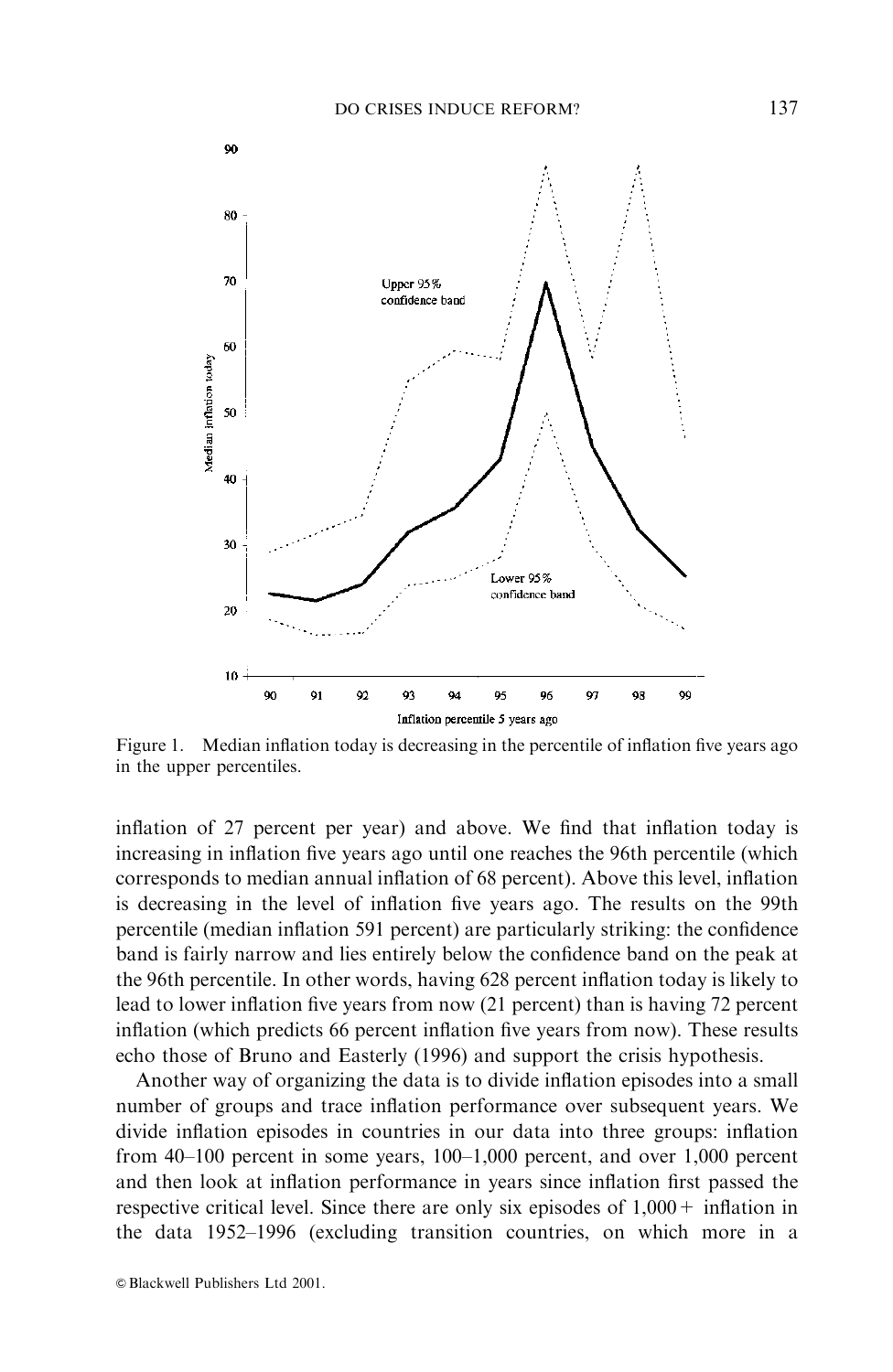

Median inflation today is decreasing in the percentile of inflation five years ago Figure 1. in the upper percentiles.

inflation of 27 percent per year) and above. We find that inflation today is increasing in inflation five years ago until one reaches the 96th percentile (which corresponds to median annual inflation of 68 percent). Above this level, inflation is decreasing in the level of inflation five years ago. The results on the 99th percentile (median inflation 591 percent) are particularly striking: the confidence band is fairly narrow and lies entirely below the confidence band on the peak at the 96th percentile. In other words, having 628 percent inflation today is likely to lead to lower inflation five years from now (21 percent) than is having 72 percent inflation (which predicts 66 percent inflation five years from now). These results echo those of Bruno and Easterly (1996) and support the crisis hypothesis.

Another way of organizing the data is to divide inflation episodes into a small number of groups and trace inflation performance over subsequent years. We divide inflation episodes in countries in our data into three groups: inflation from 40-100 percent in some years, 100-1,000 percent, and over 1,000 percent and then look at inflation performance in years since inflation first passed the respective critical level. Since there are only six episodes of  $1,000 +$  inflation in the data 1952–1996 (excluding transition countries, on which more in a

© Blackwell Publishers Ltd 2001.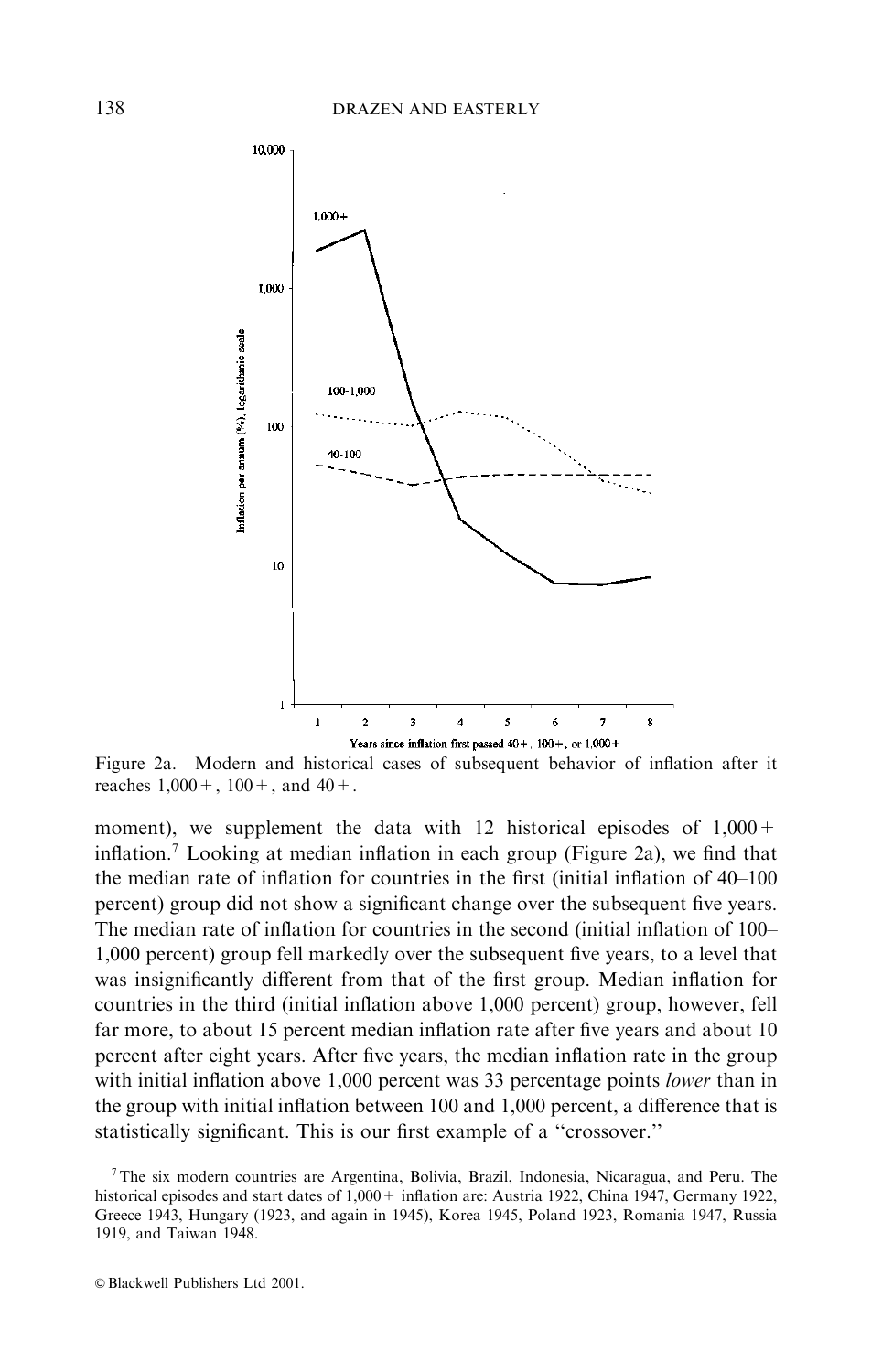

Figure 2a. Modern and historical cases of subsequent behavior of inflation after it reaches  $1,000 + 100 + 1$ , and  $40 + 1$ .

moment), we supplement the data with 12 historical episodes of  $1,000 +$ inflation.<sup>7</sup> Looking at median inflation in each group (Figure 2a), we find that the median rate of inflation for countries in the first (initial inflation of 40–100 percent) group did not show a significant change over the subsequent five years. The median rate of inflation for countries in the second (initial inflation of 100– 1,000 percent) group fell markedly over the subsequent five years, to a level that was insignificantly different from that of the first group. Median inflation for countries in the third (initial inflation above 1,000 percent) group, however, fell far more, to about 15 percent median inflation rate after five years and about 10 percent after eight years. After five years, the median inflation rate in the group with initial inflation above 1,000 percent was 33 percentage points lower than in the group with initial inflation between 100 and 1,000 percent, a difference that is statistically significant. This is our first example of a "crossover."

 $7$ The six modern countries are Argentina, Bolivia, Brazil, Indonesia, Nicaragua, and Peru. The historical episodes and start dates of 1,000 + inflation are: Austria 1922, China 1947, Germany 1922, Greece 1943, Hungary (1923, and again in 1945), Korea 1945, Poland 1923, Romania 1947, Russia 1919, and Taiwan 1948.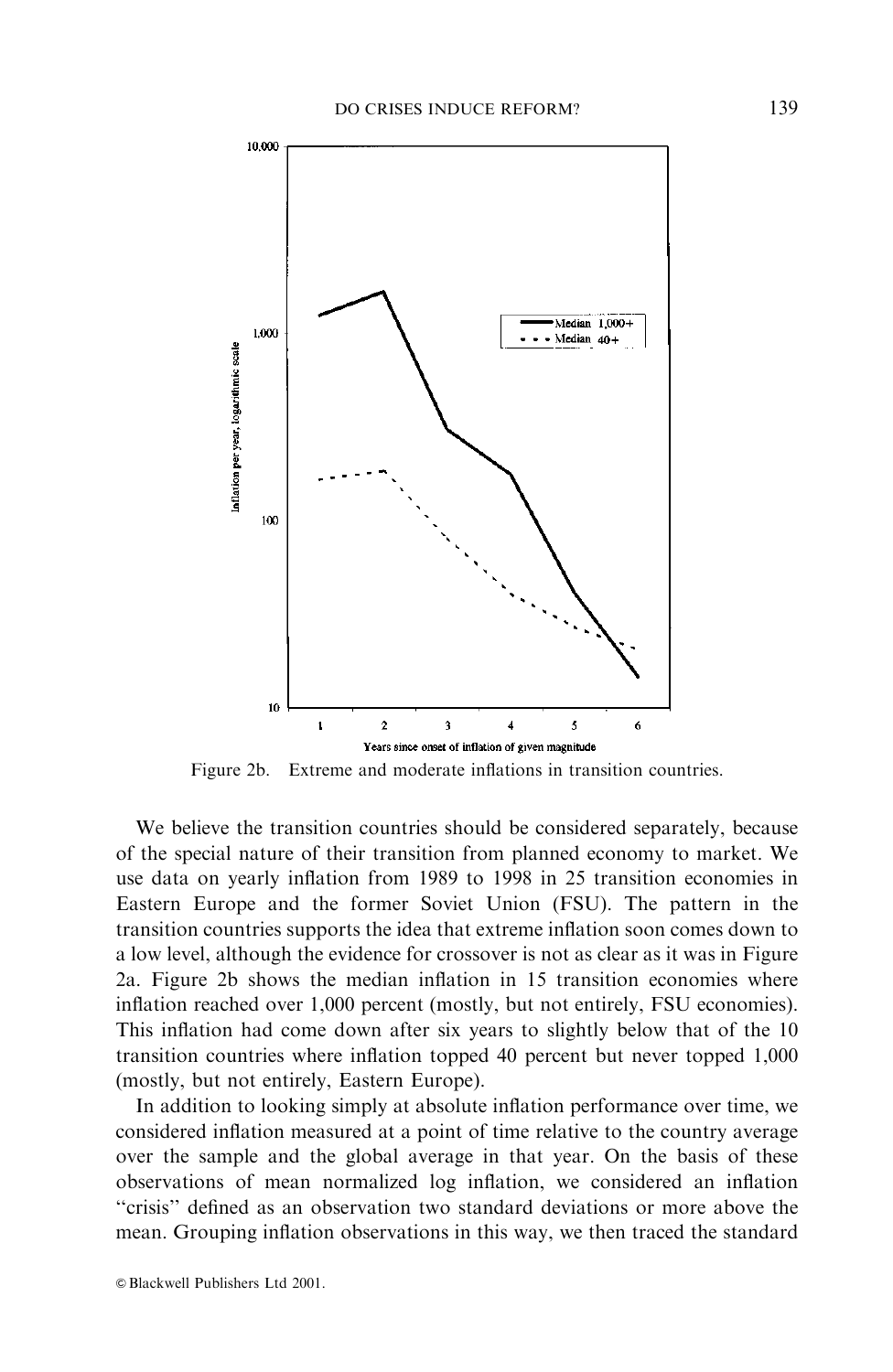

Figure 2b. Extreme and moderate inflations in transition countries.

We believe the transition countries should be considered separately, because of the special nature of their transition from planned economy to market. We use data on yearly inflation from 1989 to 1998 in 25 transition economies in Eastern Europe and the former Soviet Union (FSU). The pattern in the transition countries supports the idea that extreme inflation soon comes down to a low level, although the evidence for crossover is not as clear as it was in Figure 2a. Figure 2b shows the median inflation in 15 transition economies where inflation reached over 1,000 percent (mostly, but not entirely, FSU economies). This inflation had come down after six years to slightly below that of the 10 transition countries where inflation topped 40 percent but never topped 1,000 (mostly, but not entirely, Eastern Europe).

In addition to looking simply at absolute inflation performance over time, we considered inflation measured at a point of time relative to the country average over the sample and the global average in that year. On the basis of these observations of mean normalized log inflation, we considered an inflation "crisis" defined as an observation two standard deviations or more above the mean. Grouping inflation observations in this way, we then traced the standard

© Blackwell Publishers Ltd 2001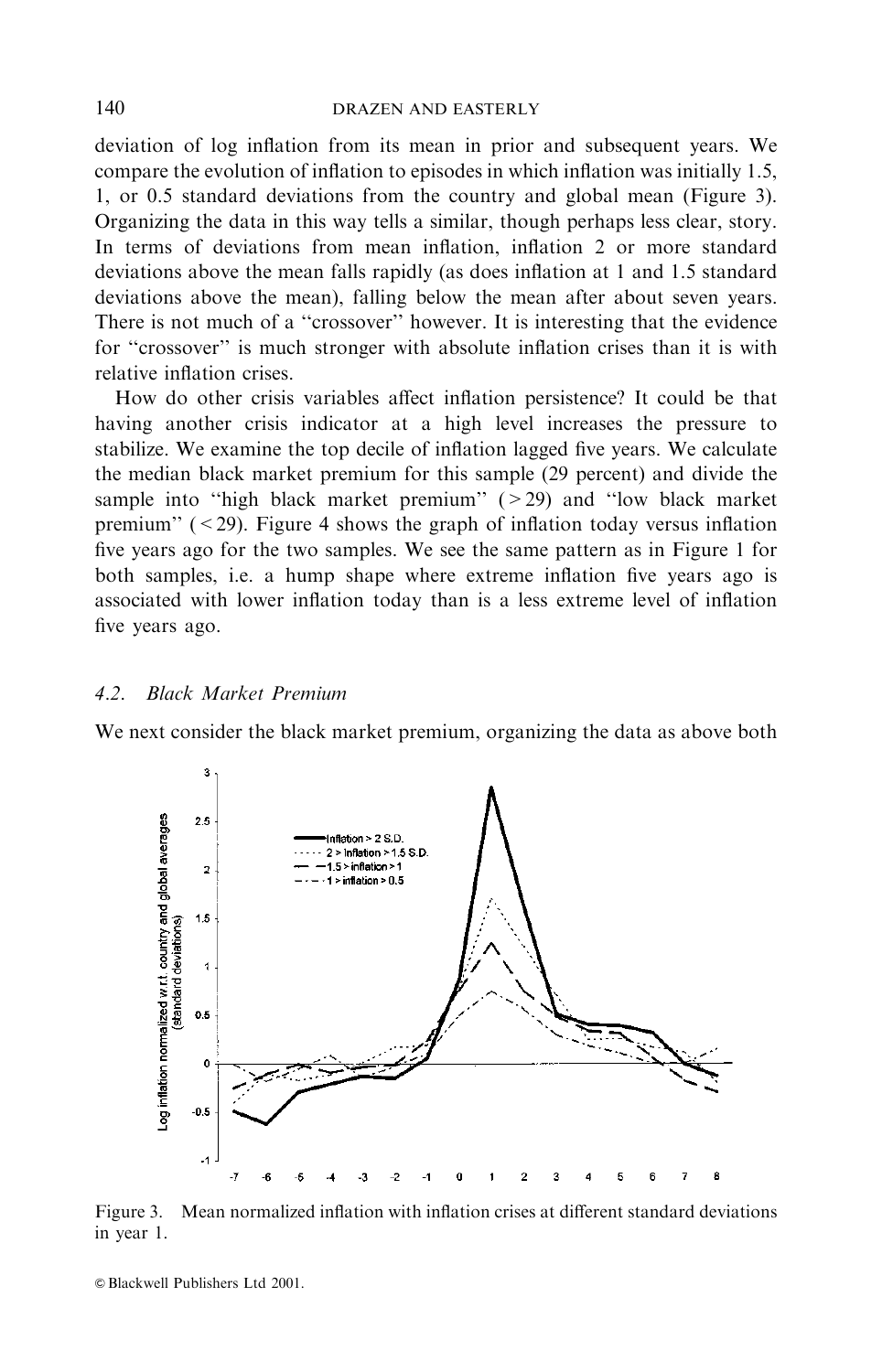deviation of log inflation from its mean in prior and subsequent years. We compare the evolution of inflation to episodes in which inflation was initially 1.5, 1, or 0.5 standard deviations from the country and global mean (Figure 3). Organizing the data in this way tells a similar, though perhaps less clear, story. In terms of deviations from mean inflation, inflation 2 or more standard deviations above the mean falls rapidly (as does inflation at 1 and 1.5 standard deviations above the mean), falling below the mean after about seven years. There is not much of a "crossover" however. It is interesting that the evidence for "crossover" is much stronger with absolute inflation crises than it is with relative inflation crises.

How do other crisis variables affect inflation persistence? It could be that having another crisis indicator at a high level increases the pressure to stabilize. We examine the top decile of inflation lagged five years. We calculate the median black market premium for this sample (29 percent) and divide the sample into "high black market premium"  $(>29)$  and "low black market premium"  $(< 29$ ). Figure 4 shows the graph of inflation today versus inflation five years ago for the two samples. We see the same pattern as in Figure 1 for both samples, i.e. a hump shape where extreme inflation five years ago is associated with lower inflation today than is a less extreme level of inflation five years ago.

#### **Black Market Premium**  $4.2.$

We next consider the black market premium, organizing the data as above both



Figure 3. Mean normalized inflation with inflation crises at different standard deviations in year 1.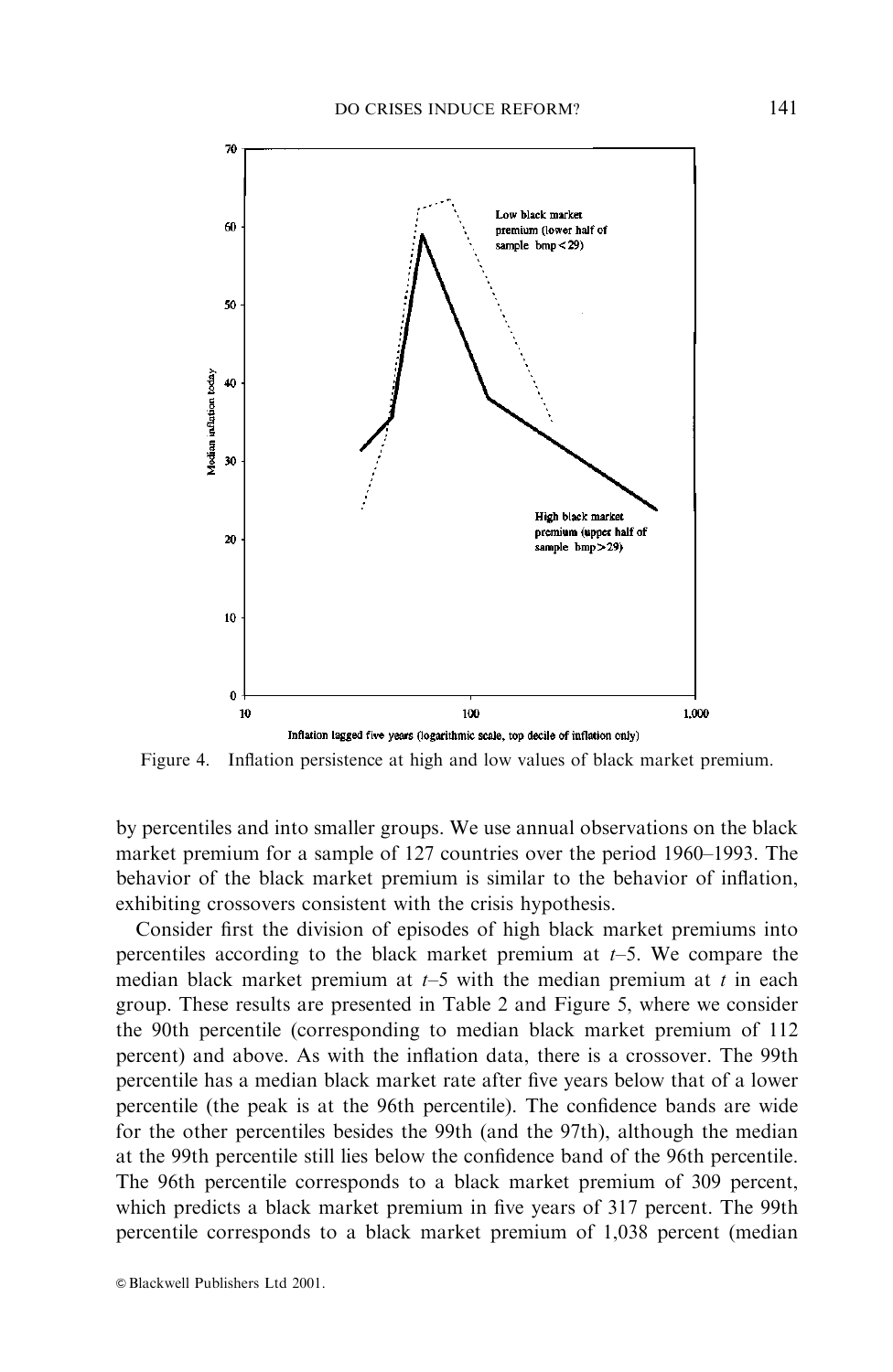

Figure 4. Inflation persistence at high and low values of black market premium.

by percentiles and into smaller groups. We use annual observations on the black market premium for a sample of 127 countries over the period 1960–1993. The behavior of the black market premium is similar to the behavior of inflation, exhibiting crossovers consistent with the crisis hypothesis.

Consider first the division of episodes of high black market premiums into percentiles according to the black market premium at  $t-5$ . We compare the median black market premium at  $t-5$  with the median premium at t in each group. These results are presented in Table 2 and Figure 5, where we consider the 90th percentile (corresponding to median black market premium of 112) percent) and above. As with the inflation data, there is a crossover. The 99th percentile has a median black market rate after five years below that of a lower percentile (the peak is at the 96th percentile). The confidence bands are wide for the other percentiles besides the 99th (and the 97th), although the median at the 99th percentile still lies below the confidence band of the 96th percentile. The 96th percentile corresponds to a black market premium of 309 percent, which predicts a black market premium in five years of 317 percent. The 99th percentile corresponds to a black market premium of 1,038 percent (median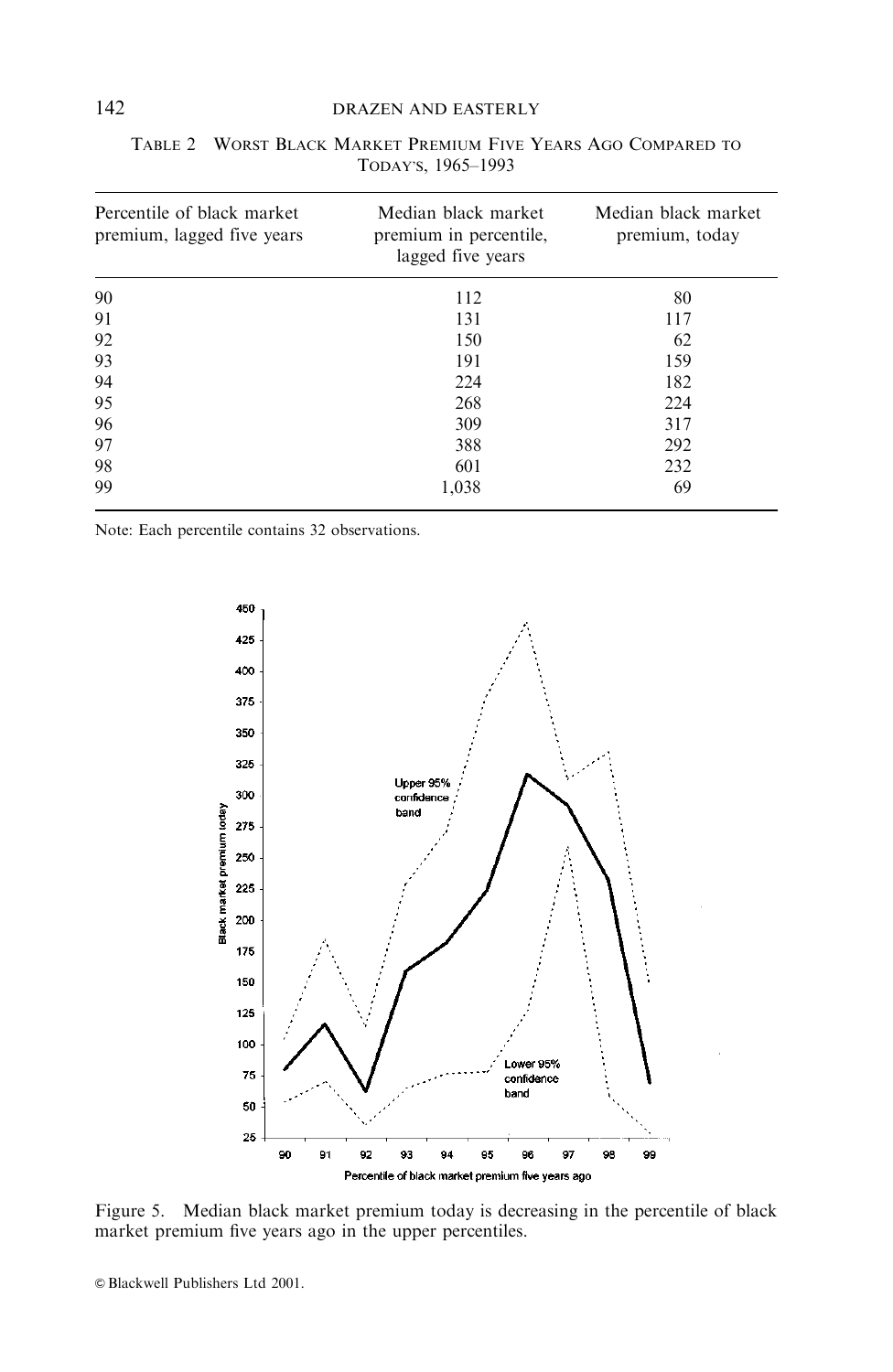## DRAZEN AND EASTERLY

| Percentile of black market<br>premium, lagged five years | Median black market<br>premium in percentile,<br>lagged five years | Median black market<br>premium, today |
|----------------------------------------------------------|--------------------------------------------------------------------|---------------------------------------|
| 90                                                       | 112                                                                | 80                                    |
| 91                                                       | 131                                                                | 117                                   |
| 92                                                       | 150                                                                | 62                                    |
| 93                                                       | 191                                                                | 159                                   |
| 94                                                       | 224                                                                | 182                                   |
| 95                                                       | 268                                                                | 224                                   |
| 96                                                       | 309                                                                | 317                                   |
| 97                                                       | 388                                                                | 292                                   |
| 98                                                       | 601                                                                | 232                                   |
| 99                                                       | 1.038                                                              | 69                                    |

|  | TABLE 2 WORST BLACK MARKET PREMIUM FIVE YEARS AGO COMPARED TO |  |  |  |
|--|---------------------------------------------------------------|--|--|--|
|  |                                                               |  |  |  |

Note: Each percentile contains 32 observations.



Figure 5. Median black market premium today is decreasing in the percentile of black market premium five years ago in the upper percentiles.

142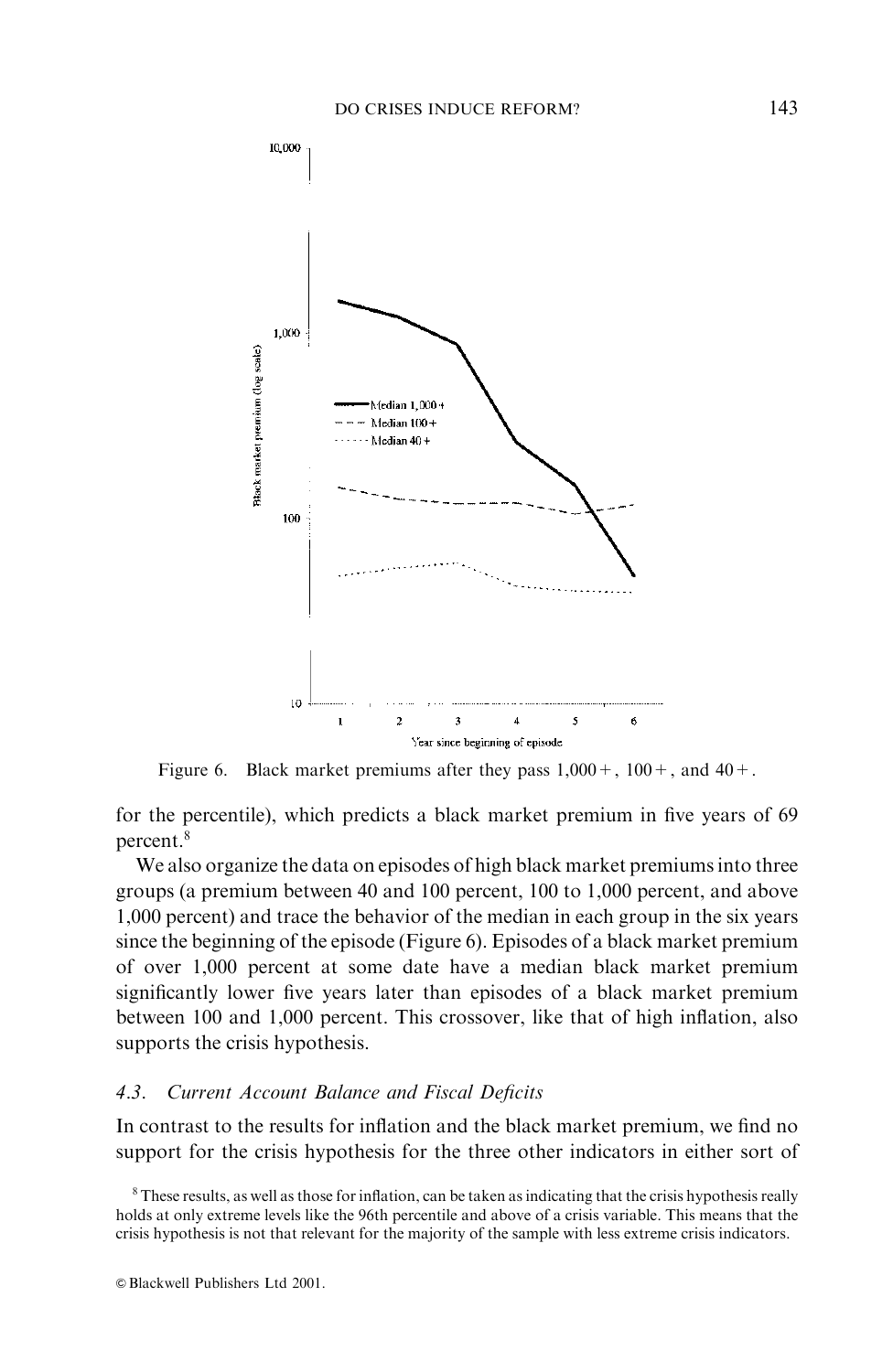

Figure 6. Black market premiums after they pass  $1,000 + 0,100 + 0,$  and  $40 + 0$ .

for the percentile), which predicts a black market premium in five years of 69 percent.<sup>8</sup>

We also organize the data on episodes of high black market premiums into three groups (a premium between 40 and 100 percent, 100 to 1,000 percent, and above 1,000 percent) and trace the behavior of the median in each group in the six years since the beginning of the episode (Figure 6). Episodes of a black market premium of over 1,000 percent at some date have a median black market premium significantly lower five years later than episodes of a black market premium between 100 and 1,000 percent. This crossover, like that of high inflation, also supports the crisis hypothesis.

# 4.3. Current Account Balance and Fiscal Deficits

In contrast to the results for inflation and the black market premium, we find no support for the crisis hypothesis for the three other indicators in either sort of

<sup>&</sup>lt;sup>8</sup> These results, as well as those for inflation, can be taken as indicating that the crisis hypothesis really holds at only extreme levels like the 96th percentile and above of a crisis variable. This means that the crisis hypothesis is not that relevant for the majority of the sample with less extreme crisis indicators.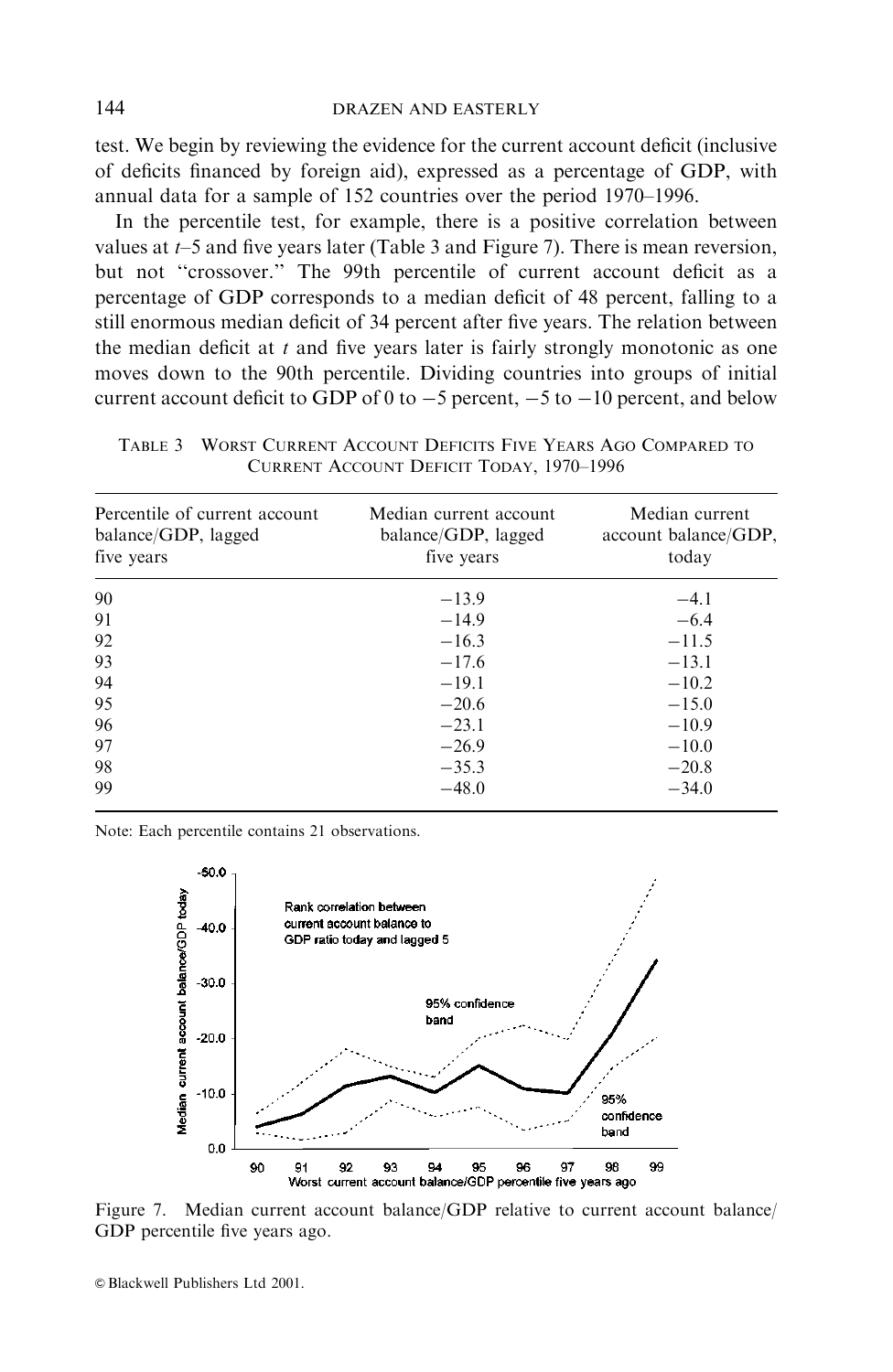test. We begin by reviewing the evidence for the current account deficit (inclusive of deficits financed by foreign aid), expressed as a percentage of GDP, with annual data for a sample of 152 countries over the period 1970–1996.

In the percentile test, for example, there is a positive correlation between values at  $t-5$  and five years later (Table 3 and Figure 7). There is mean reversion, but not "crossover." The 99th percentile of current account deficit as a percentage of GDP corresponds to a median deficit of 48 percent, falling to a still enormous median deficit of 34 percent after five years. The relation between the median deficit at  $t$  and five years later is fairly strongly monotonic as one moves down to the 90th percentile. Dividing countries into groups of initial current account deficit to GDP of 0 to  $-5$  percent,  $-5$  to  $-10$  percent, and below

TABLE 3 WORST CURRENT ACCOUNT DEFICITS FIVE YEARS AGO COMPARED TO **CURRENT ACCOUNT DEFICIT TODAY, 1970-1996** 

| Percentile of current account<br>balance/GDP, lagged<br>five years | Median current account<br>balance/GDP, lagged<br>five years | Median current<br>account balance/GDP,<br>today |
|--------------------------------------------------------------------|-------------------------------------------------------------|-------------------------------------------------|
| 90                                                                 | $-13.9$                                                     | $-4.1$                                          |
| 91                                                                 | $-14.9$                                                     | $-6.4$                                          |
| 92                                                                 | $-16.3$                                                     | $-11.5$                                         |
| 93                                                                 | $-17.6$                                                     | $-13.1$                                         |
| 94                                                                 | $-19.1$                                                     | $-10.2$                                         |
| 95                                                                 | $-20.6$                                                     | $-15.0$                                         |
| 96                                                                 | $-23.1$                                                     | $-10.9$                                         |
| 97                                                                 | $-26.9$                                                     | $-10.0$                                         |
| 98                                                                 | $-35.3$                                                     | $-20.8$                                         |
| 99                                                                 | $-48.0$                                                     | $-34.0$                                         |

Note: Each percentile contains 21 observations.



Figure 7. Median current account balance/GDP relative to current account balance/ GDP percentile five years ago.

© Blackwell Publishers Ltd 2001.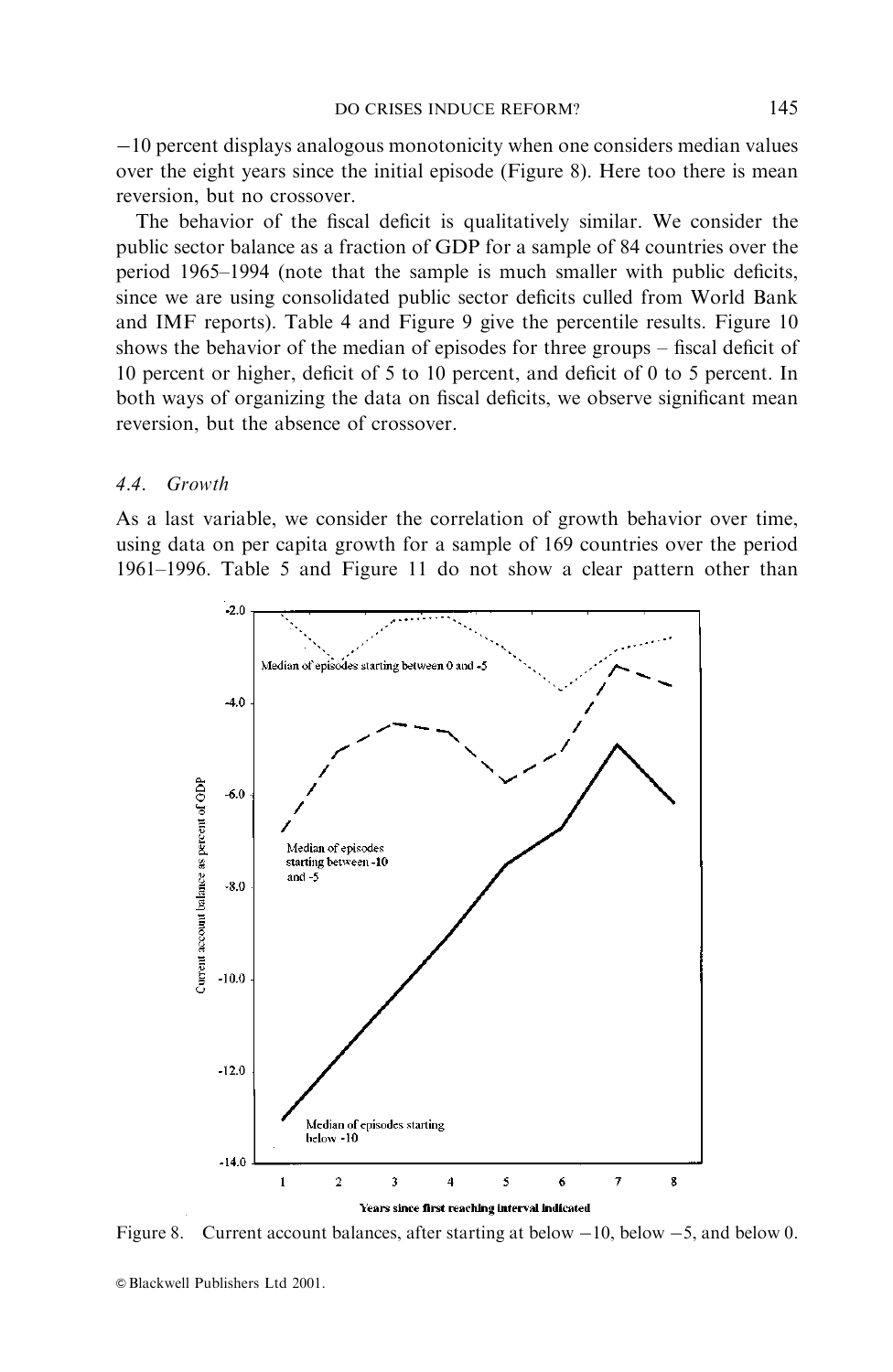$-10$  percent displays analogous monotonicity when one considers median values over the eight years since the initial episode (Figure 8). Here too there is mean reversion, but no crossover.

The behavior of the fiscal deficit is qualitatively similar. We consider the public sector balance as a fraction of GDP for a sample of 84 countries over the period 1965–1994 (note that the sample is much smaller with public deficits, since we are using consolidated public sector deficits culled from World Bank and IMF reports). Table 4 and Figure 9 give the percentile results. Figure 10 shows the behavior of the median of episodes for three groups – fiscal deficit of 10 percent or higher, deficit of 5 to 10 percent, and deficit of 0 to 5 percent. In both ways of organizing the data on fiscal deficits, we observe significant mean reversion, but the absence of crossover.

#### $4.4$ Growth

As a last variable, we consider the correlation of growth behavior over time, using data on per capita growth for a sample of 169 countries over the period 1961–1996. Table 5 and Figure 11 do not show a clear pattern other than



Figure 8. Current account balances, after starting at below  $-10$ , below  $-5$ , and below 0.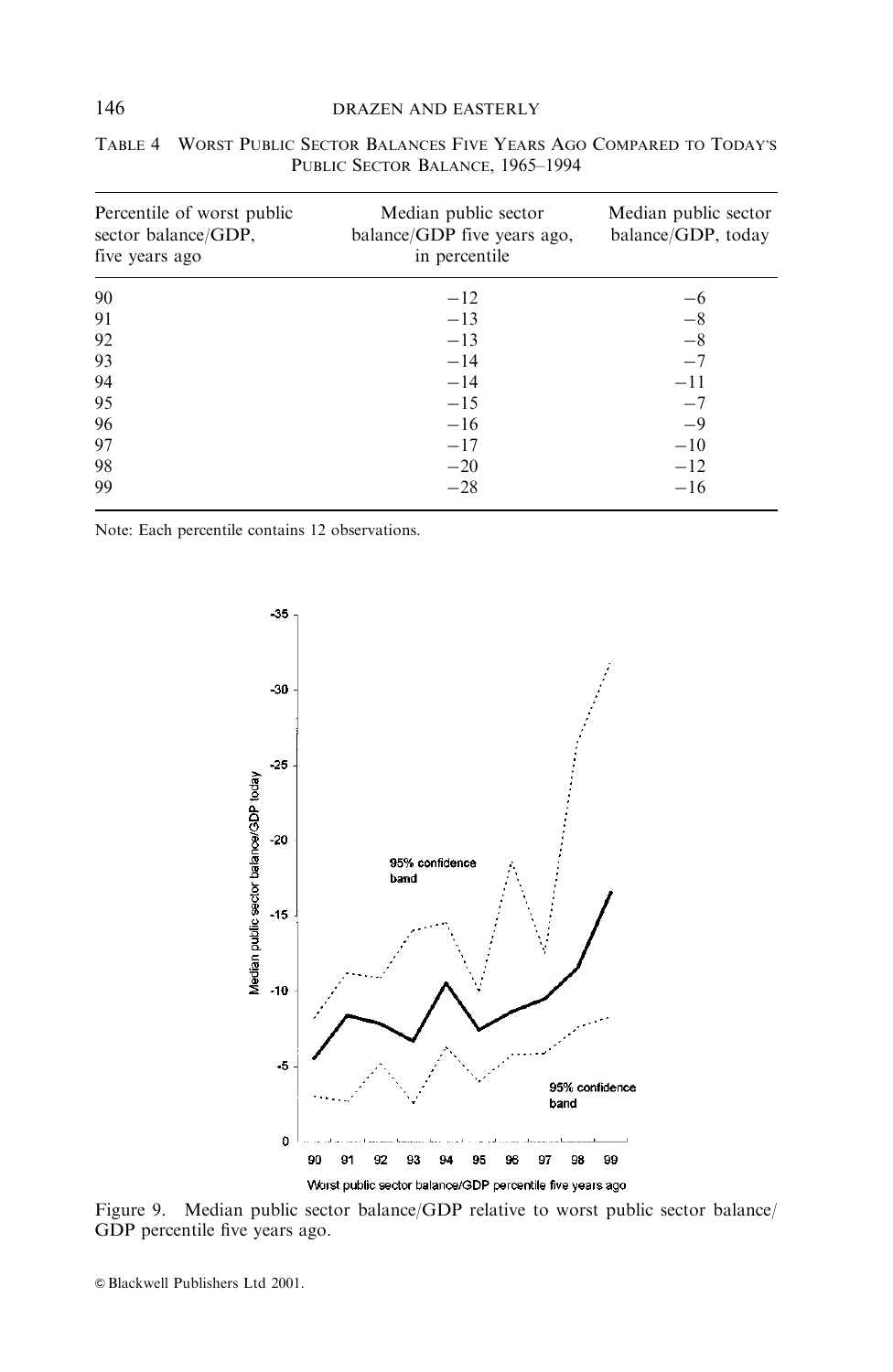## DRAZEN AND EASTERLY

| Percentile of worst public<br>sector balance/GDP,<br>five years ago | Median public sector<br>balance/GDP five years ago,<br>in percentile | Median public sector<br>balance/GDP, today |
|---------------------------------------------------------------------|----------------------------------------------------------------------|--------------------------------------------|
| 90                                                                  | $-12$                                                                | $-6$                                       |
| 91                                                                  | $-13$                                                                | $-8$                                       |
| 92                                                                  | $-13$                                                                | $-8$                                       |
| 93                                                                  | $-14$                                                                | $-7$                                       |
| 94                                                                  | $-14$                                                                | $-11$                                      |
| 95                                                                  | $-15$                                                                | $-7$                                       |
| 96                                                                  | $-16$                                                                | $-9$                                       |
| 97                                                                  | $-17$                                                                | $-10$                                      |
| 98                                                                  | $-20$                                                                | $-12$                                      |
| 99                                                                  | $-28$                                                                | $-16$                                      |

| TABLE 4 WORST PUBLIC SECTOR BALANCES FIVE YEARS AGO COMPARED TO TODAY'S |
|-------------------------------------------------------------------------|
| PUBLIC SECTOR BALANCE, 1965–1994                                        |

Note: Each percentile contains 12 observations.



Figure 9. Median public sector balance/GDP relative to worst public sector balance/ GDP percentile five years ago.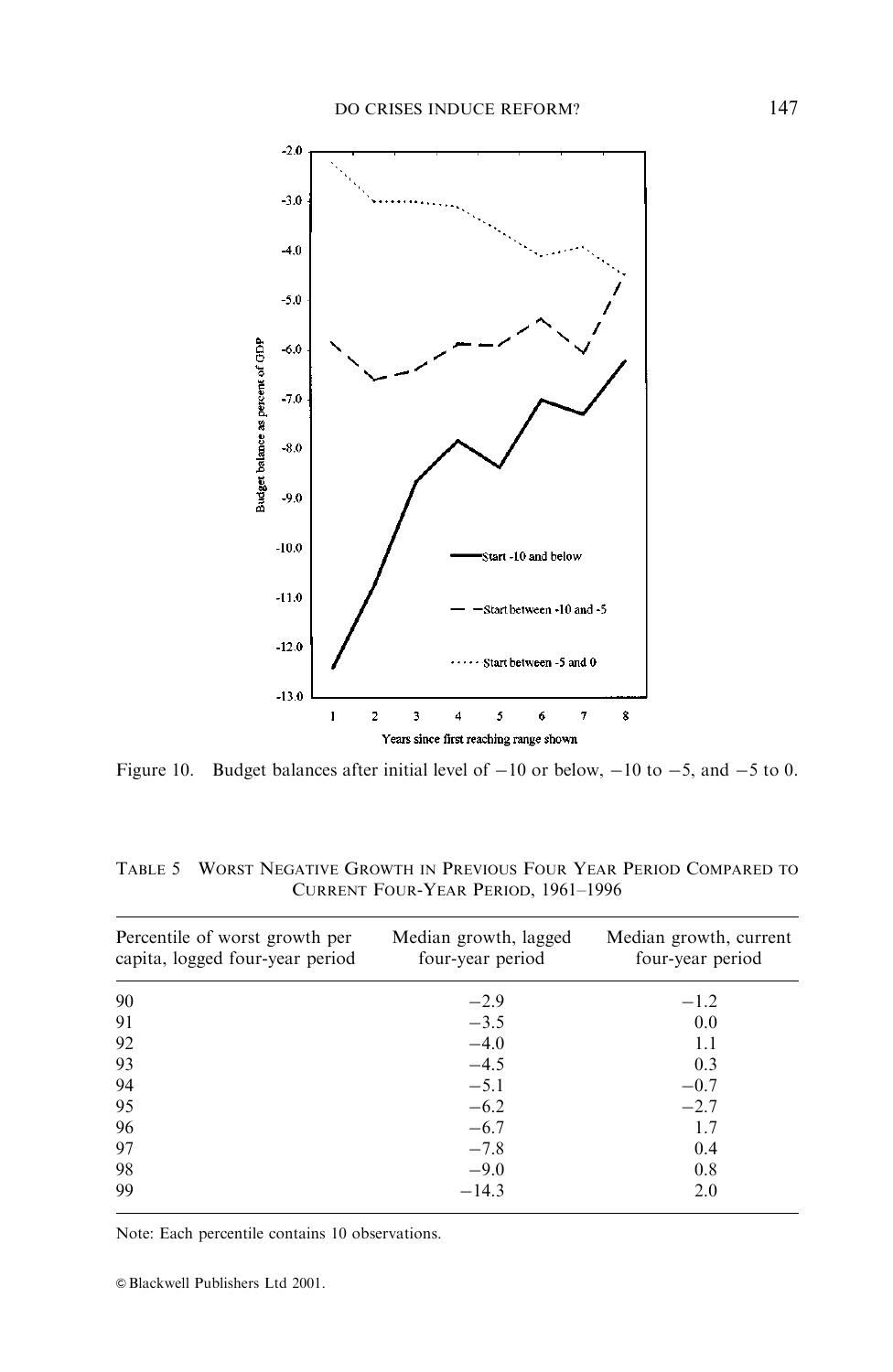

Figure 10. Budget balances after initial level of  $-10$  or below,  $-10$  to  $-5$ , and  $-5$  to 0.

| Percentile of worst growth per<br>capita, logged four-year period | Median growth, lagged<br>four-year period | Median growth, current<br>four-year period |
|-------------------------------------------------------------------|-------------------------------------------|--------------------------------------------|
| 90                                                                | $-2.9$                                    | $-1.2$                                     |
| 91                                                                | $-3.5$                                    | 0.0                                        |
| 92                                                                | $-4.0$                                    | 1.1                                        |
| 93                                                                | $-4.5$                                    | 0.3                                        |
| 94                                                                | $-5.1$                                    | $-0.7$                                     |
| 95                                                                | $-6.2$                                    | $-2.7$                                     |
| 96                                                                | $-6.7$                                    | 1.7                                        |
| 97                                                                | $-7.8$                                    | 0.4                                        |
| 98                                                                | $-9.0$                                    | 0.8                                        |
| 99                                                                | $-14.3$                                   | 2.0                                        |

TABLE 5 WORST NEGATIVE GROWTH IN PREVIOUS FOUR YEAR PERIOD COMPARED TO CURRENT FOUR-YEAR PERIOD, 1961-1996

Note: Each percentile contains 10 observations.

© Blackwell Publishers Ltd 2001.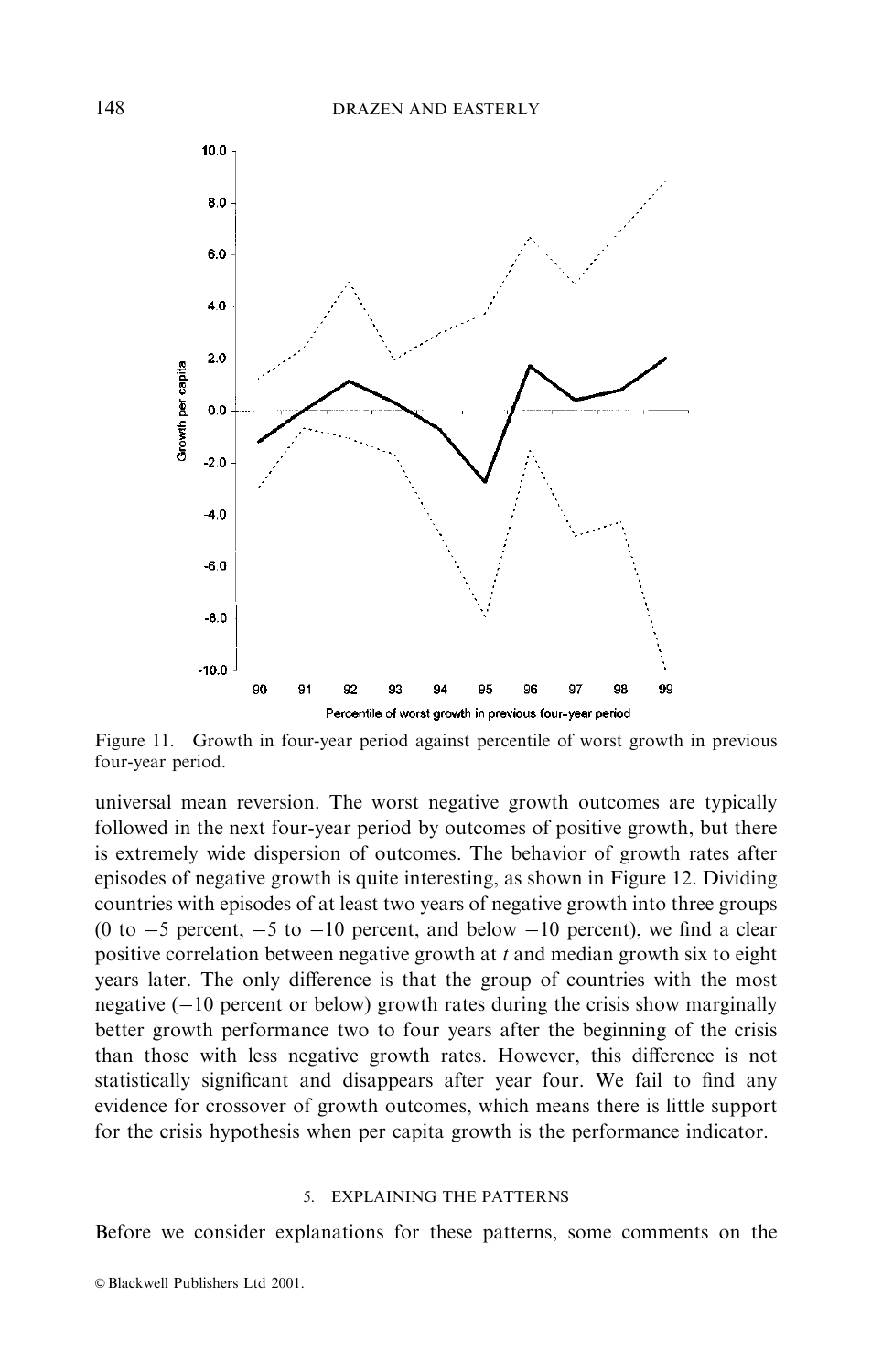

Figure 11. Growth in four-year period against percentile of worst growth in previous four-year period.

universal mean reversion. The worst negative growth outcomes are typically followed in the next four-year period by outcomes of positive growth, but there is extremely wide dispersion of outcomes. The behavior of growth rates after episodes of negative growth is quite interesting, as shown in Figure 12. Dividing countries with episodes of at least two years of negative growth into three groups (0 to  $-5$  percent,  $-5$  to  $-10$  percent, and below  $-10$  percent), we find a clear positive correlation between negative growth at  $t$  and median growth six to eight years later. The only difference is that the group of countries with the most negative  $(-10$  percent or below) growth rates during the crisis show marginally better growth performance two to four years after the beginning of the crisis than those with less negative growth rates. However, this difference is not statistically significant and disappears after year four. We fail to find any evidence for crossover of growth outcomes, which means there is little support for the crisis hypothesis when per capita growth is the performance indicator.

### 5. EXPLAINING THE PATTERNS

Before we consider explanations for these patterns, some comments on the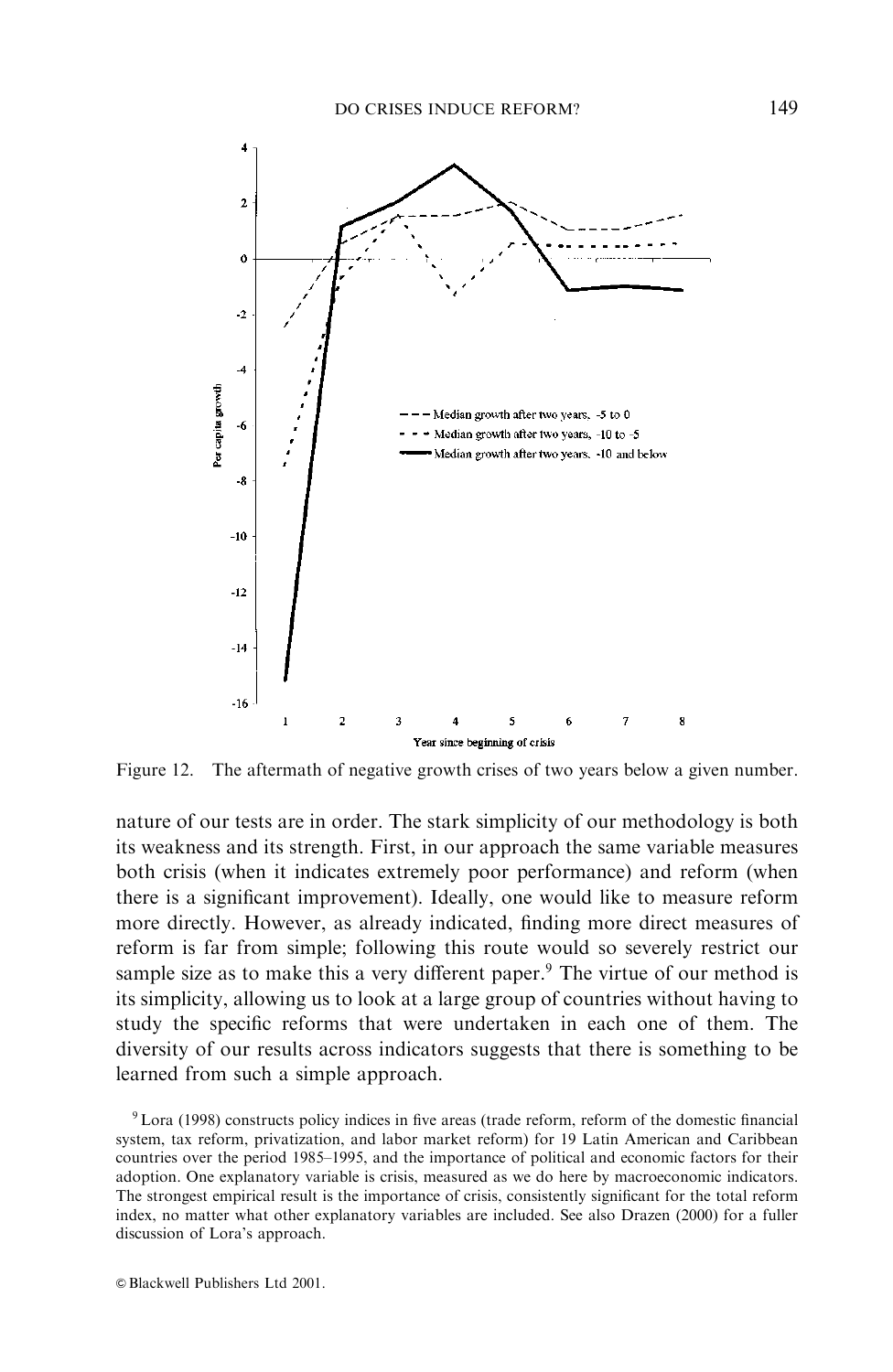

Figure 12. The aftermath of negative growth crises of two years below a given number.

nature of our tests are in order. The stark simplicity of our methodology is both its weakness and its strength. First, in our approach the same variable measures both crisis (when it indicates extremely poor performance) and reform (when there is a significant improvement). Ideally, one would like to measure reform more directly. However, as already indicated, finding more direct measures of reform is far from simple; following this route would so severely restrict our sample size as to make this a very different paper.<sup>9</sup> The virtue of our method is its simplicity, allowing us to look at a large group of countries without having to study the specific reforms that were undertaken in each one of them. The diversity of our results across indicators suggests that there is something to be learned from such a simple approach.

<sup>9</sup> Lora (1998) constructs policy indices in five areas (trade reform, reform of the domestic financial system, tax reform, privatization, and labor market reform) for 19 Latin American and Caribbean countries over the period 1985–1995, and the importance of political and economic factors for their adoption. One explanatory variable is crisis, measured as we do here by macroeconomic indicators. The strongest empirical result is the importance of crisis, consistently significant for the total reform index, no matter what other explanatory variables are included. See also Drazen (2000) for a fuller discussion of Lora's approach.

© Blackwell Publishers Ltd 2001.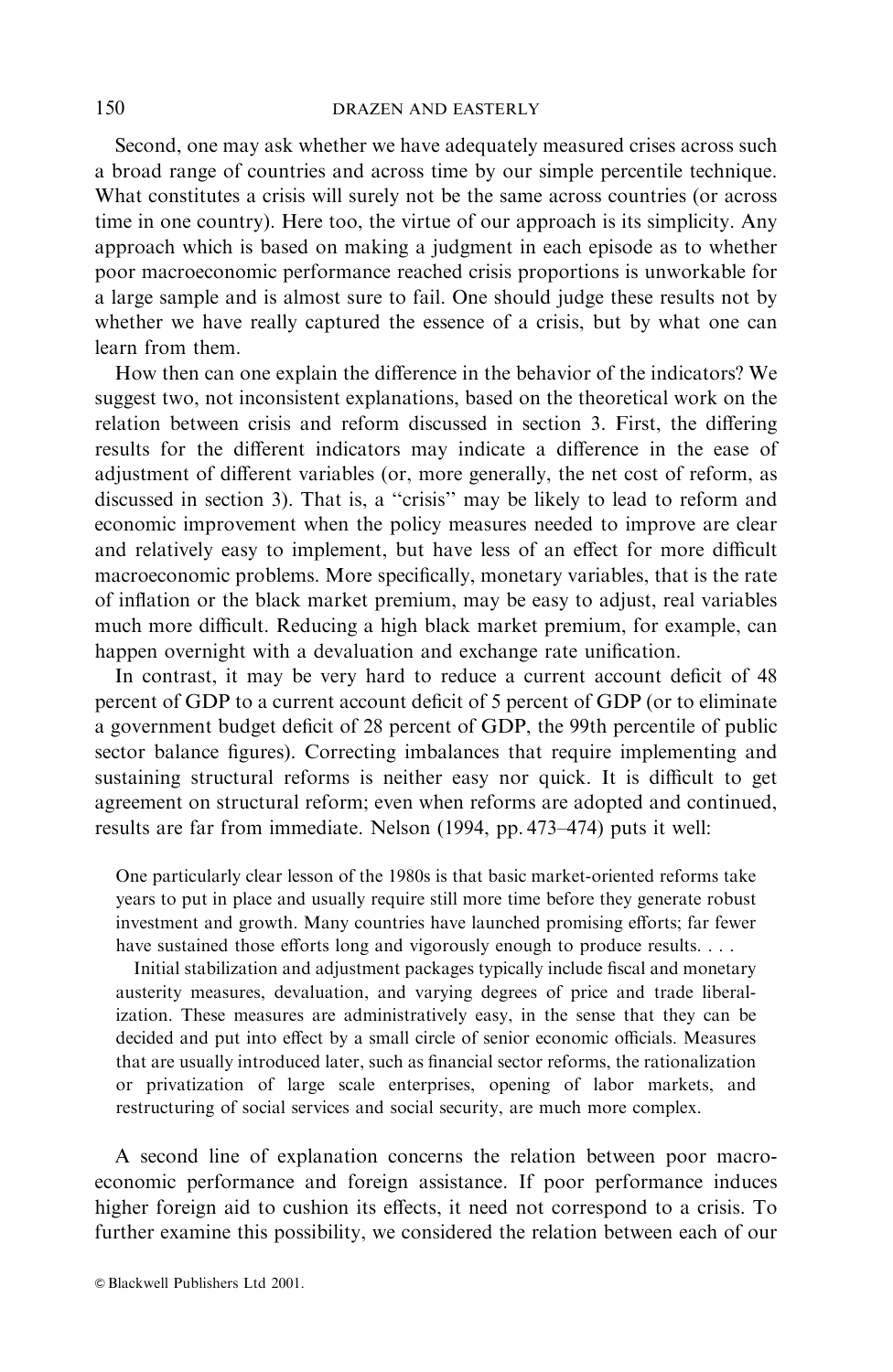Second, one may ask whether we have adequately measured crises across such a broad range of countries and across time by our simple percentile technique. What constitutes a crisis will surely not be the same across countries (or across time in one country). Here too, the virtue of our approach is its simplicity. Any approach which is based on making a judgment in each episode as to whether poor macroeconomic performance reached crisis proportions is unworkable for a large sample and is almost sure to fail. One should judge these results not by whether we have really captured the essence of a crisis, but by what one can learn from them.

How then can one explain the difference in the behavior of the indicators? We suggest two, not inconsistent explanations, based on the theoretical work on the relation between crisis and reform discussed in section 3. First, the differing results for the different indicators may indicate a difference in the ease of adjustment of different variables (or, more generally, the net cost of reform, as discussed in section 3). That is, a "crisis" may be likely to lead to reform and economic improvement when the policy measures needed to improve are clear and relatively easy to implement, but have less of an effect for more difficult macroeconomic problems. More specifically, monetary variables, that is the rate of inflation or the black market premium, may be easy to adjust, real variables much more difficult. Reducing a high black market premium, for example, can happen overnight with a devaluation and exchange rate unification.

In contrast, it may be very hard to reduce a current account deficit of 48 percent of GDP to a current account deficit of 5 percent of GDP (or to eliminate a government budget deficit of 28 percent of GDP, the 99th percentile of public sector balance figures). Correcting imbalances that require implementing and sustaining structural reforms is neither easy nor quick. It is difficult to get agreement on structural reform; even when reforms are adopted and continued, results are far from immediate. Nelson (1994, pp. 473–474) puts it well:

One particularly clear lesson of the 1980s is that basic market-oriented reforms take years to put in place and usually require still more time before they generate robust investment and growth. Many countries have launched promising efforts; far fewer have sustained those efforts long and vigorously enough to produce results....

Initial stabilization and adjustment packages typically include fiscal and monetary austerity measures, devaluation, and varying degrees of price and trade liberalization. These measures are administratively easy, in the sense that they can be decided and put into effect by a small circle of senior economic officials. Measures that are usually introduced later, such as financial sector reforms, the rationalization or privatization of large scale enterprises, opening of labor markets, and restructuring of social services and social security, are much more complex.

A second line of explanation concerns the relation between poor macroeconomic performance and foreign assistance. If poor performance induces higher foreign aid to cushion its effects, it need not correspond to a crisis. To further examine this possibility, we considered the relation between each of our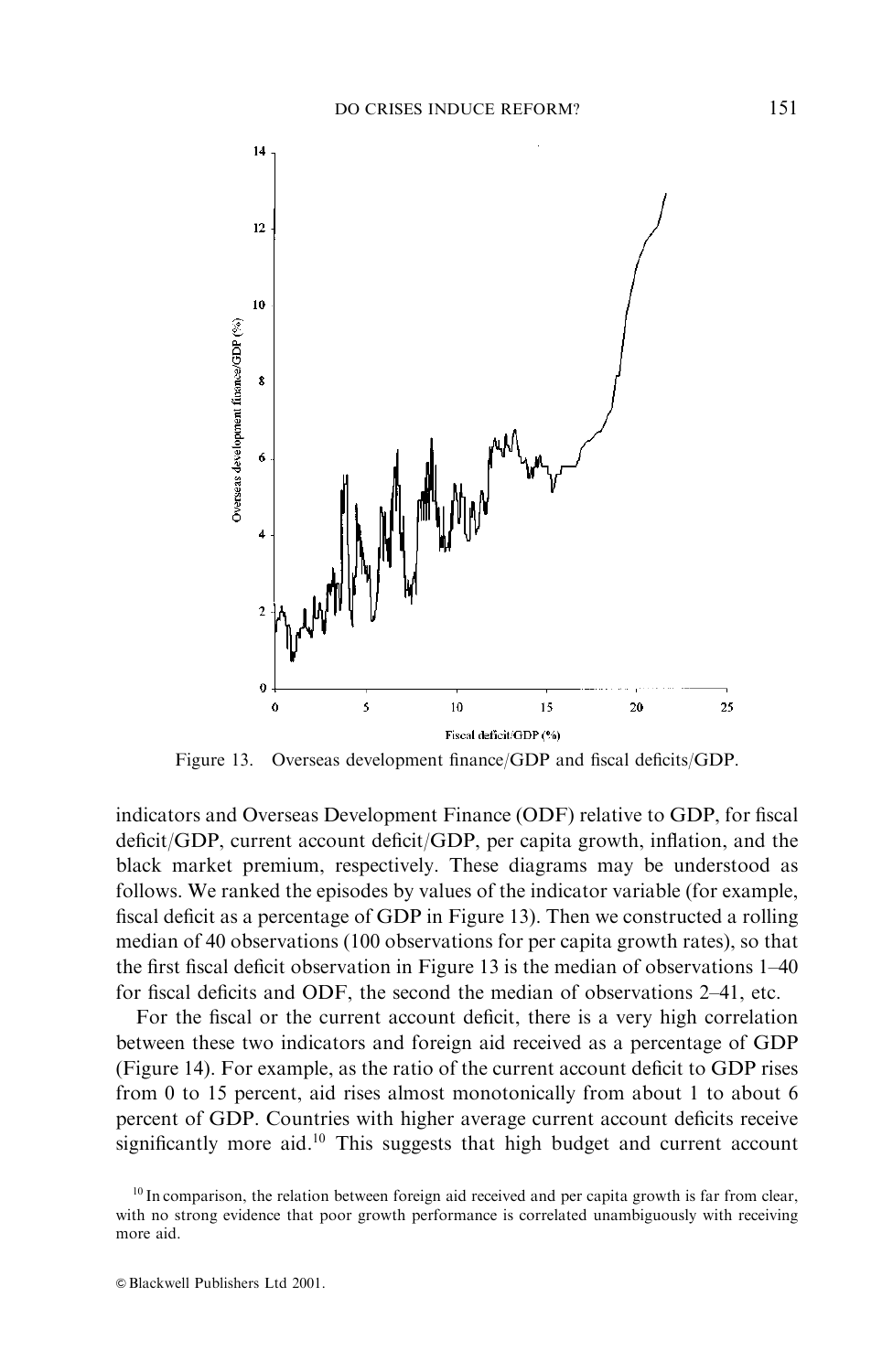

Figure 13. Overseas development finance/GDP and fiscal deficits/GDP.

indicators and Overseas Development Finance (ODF) relative to GDP, for fiscal deficit/GDP, current account deficit/GDP, per capita growth, inflation, and the black market premium, respectively. These diagrams may be understood as follows. We ranked the episodes by values of the indicator variable (for example, fiscal deficit as a percentage of GDP in Figure 13). Then we constructed a rolling median of 40 observations (100 observations for per capita growth rates), so that the first fiscal deficit observation in Figure 13 is the median of observations 1–40 for fiscal deficits and ODF, the second the median of observations 2-41, etc.

For the fiscal or the current account deficit, there is a very high correlation between these two indicators and foreign aid received as a percentage of GDP (Figure 14). For example, as the ratio of the current account deficit to GDP rises from 0 to 15 percent, aid rises almost monotonically from about 1 to about 6 percent of GDP. Countries with higher average current account deficits receive significantly more aid.<sup>10</sup> This suggests that high budget and current account

 $^{10}$  In comparison, the relation between foreign aid received and per capita growth is far from clear, with no strong evidence that poor growth performance is correlated unambiguously with receiving more aid.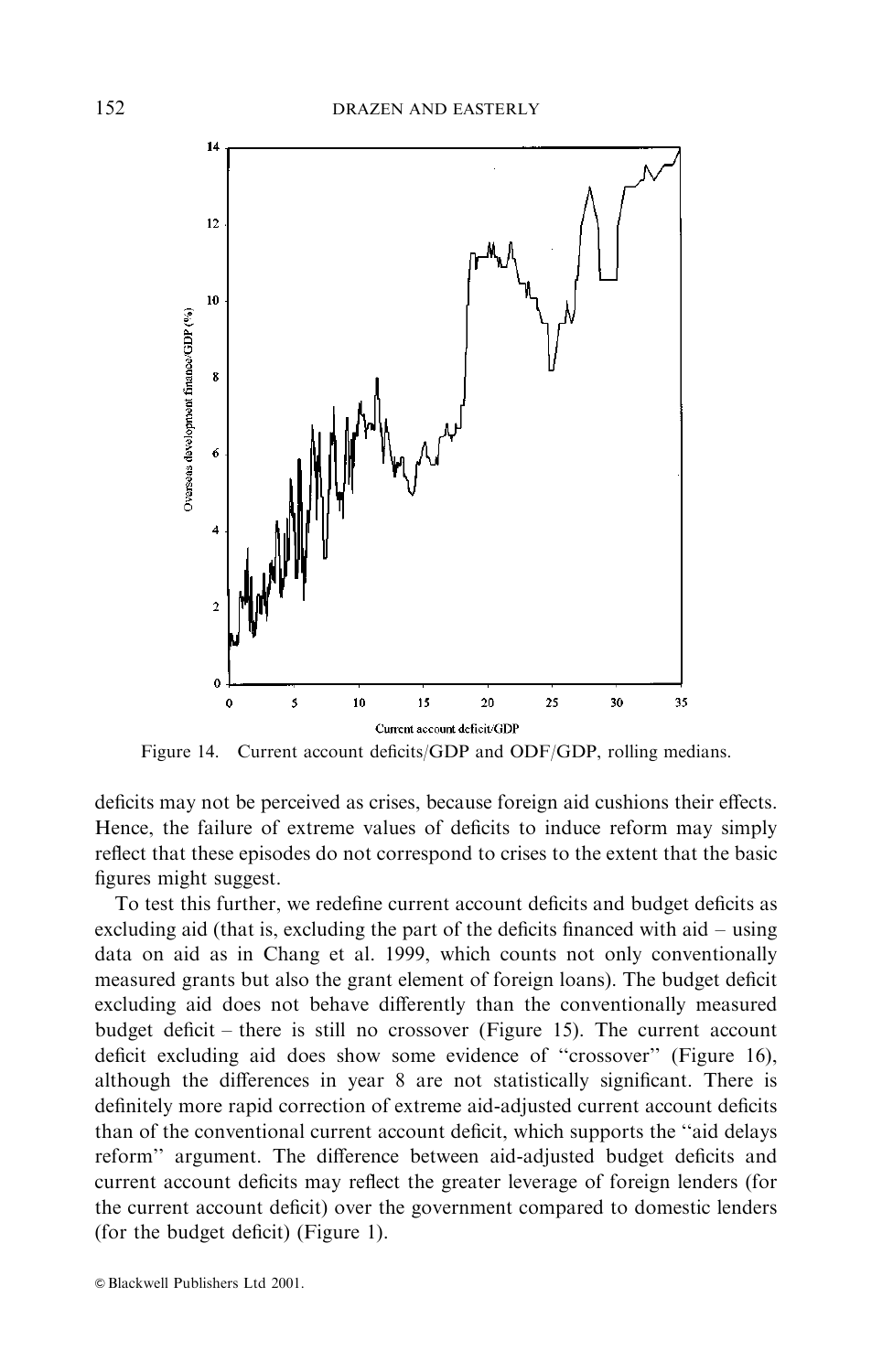

Figure 14. Current account deficits/GDP and ODF/GDP, rolling medians.

deficits may not be perceived as crises, because foreign aid cushions their effects. Hence, the failure of extreme values of deficits to induce reform may simply reflect that these episodes do not correspond to crises to the extent that the basic figures might suggest.

To test this further, we redefine current account deficits and budget deficits as excluding aid (that is, excluding the part of the deficits financed with aid – using data on aid as in Chang et al. 1999, which counts not only conventionally measured grants but also the grant element of foreign loans). The budget deficit excluding aid does not behave differently than the conventionally measured budget deficit – there is still no crossover (Figure 15). The current account deficit excluding aid does show some evidence of "crossover" (Figure 16), although the differences in year 8 are not statistically significant. There is definitely more rapid correction of extreme aid-adjusted current account deficits than of the conventional current account deficit, which supports the "aid delays reform" argument. The difference between aid-adjusted budget deficits and current account deficits may reflect the greater leverage of foreign lenders (for the current account deficit) over the government compared to domestic lenders (for the budget deficit) (Figure 1).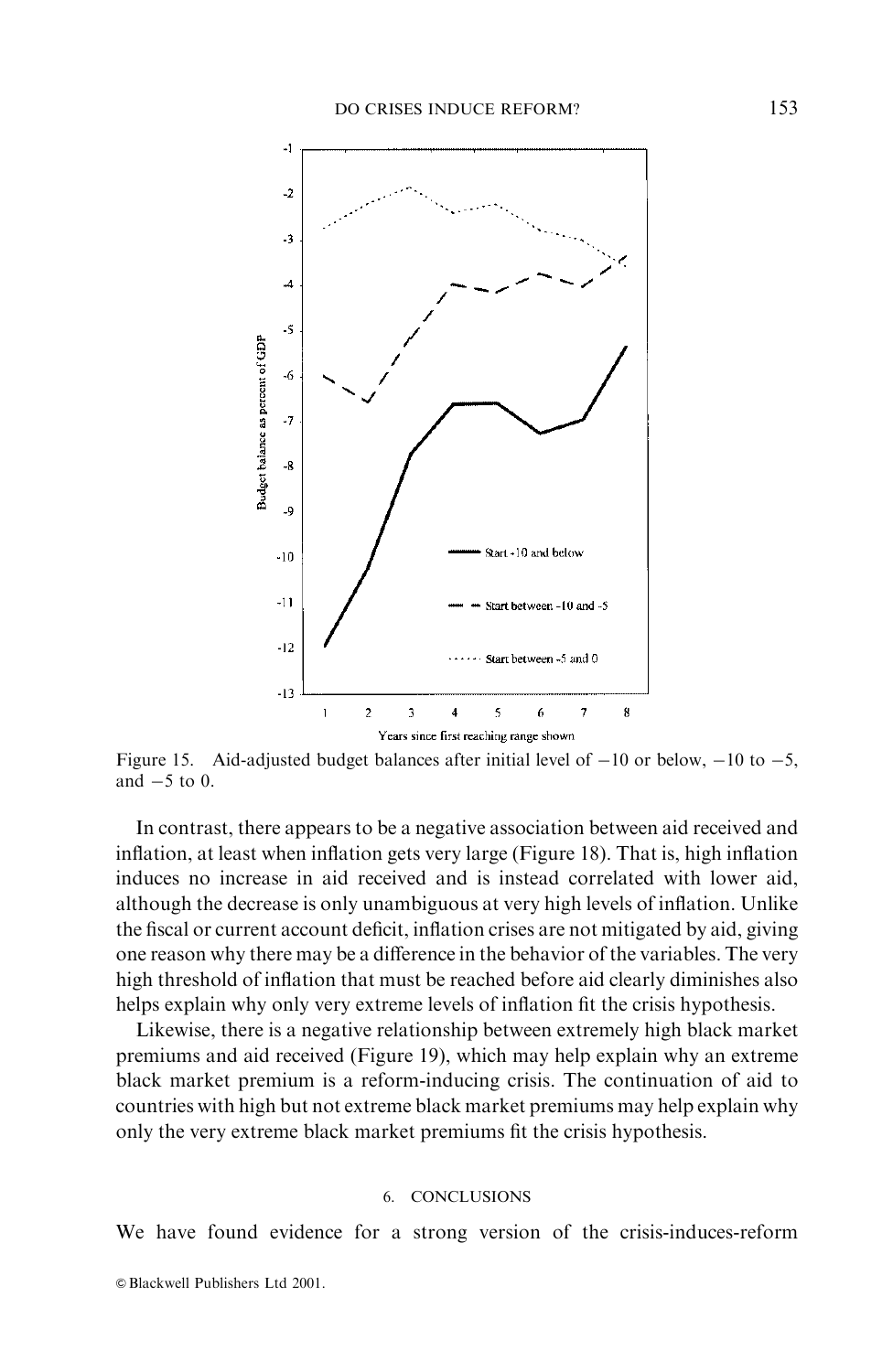

Figure 15. Aid-adjusted budget balances after initial level of  $-10$  or below,  $-10$  to  $-5$ . and  $-5$  to 0.

In contrast, there appears to be a negative association between aid received and inflation, at least when inflation gets very large (Figure 18). That is, high inflation induces no increase in aid received and is instead correlated with lower aid, although the decrease is only unambiguous at very high levels of inflation. Unlike the fiscal or current account deficit, inflation crises are not mitigated by aid, giving one reason why there may be a difference in the behavior of the variables. The very high threshold of inflation that must be reached before aid clearly diminishes also helps explain why only very extreme levels of inflation fit the crisis hypothesis.

Likewise, there is a negative relationship between extremely high black market premiums and aid received (Figure 19), which may help explain why an extreme black market premium is a reform-inducing crisis. The continuation of aid to countries with high but not extreme black market premiums may help explain why only the very extreme black market premiums fit the crisis hypothesis.

### 6. CONCLUSIONS

We have found evidence for a strong version of the crisis-induces-reform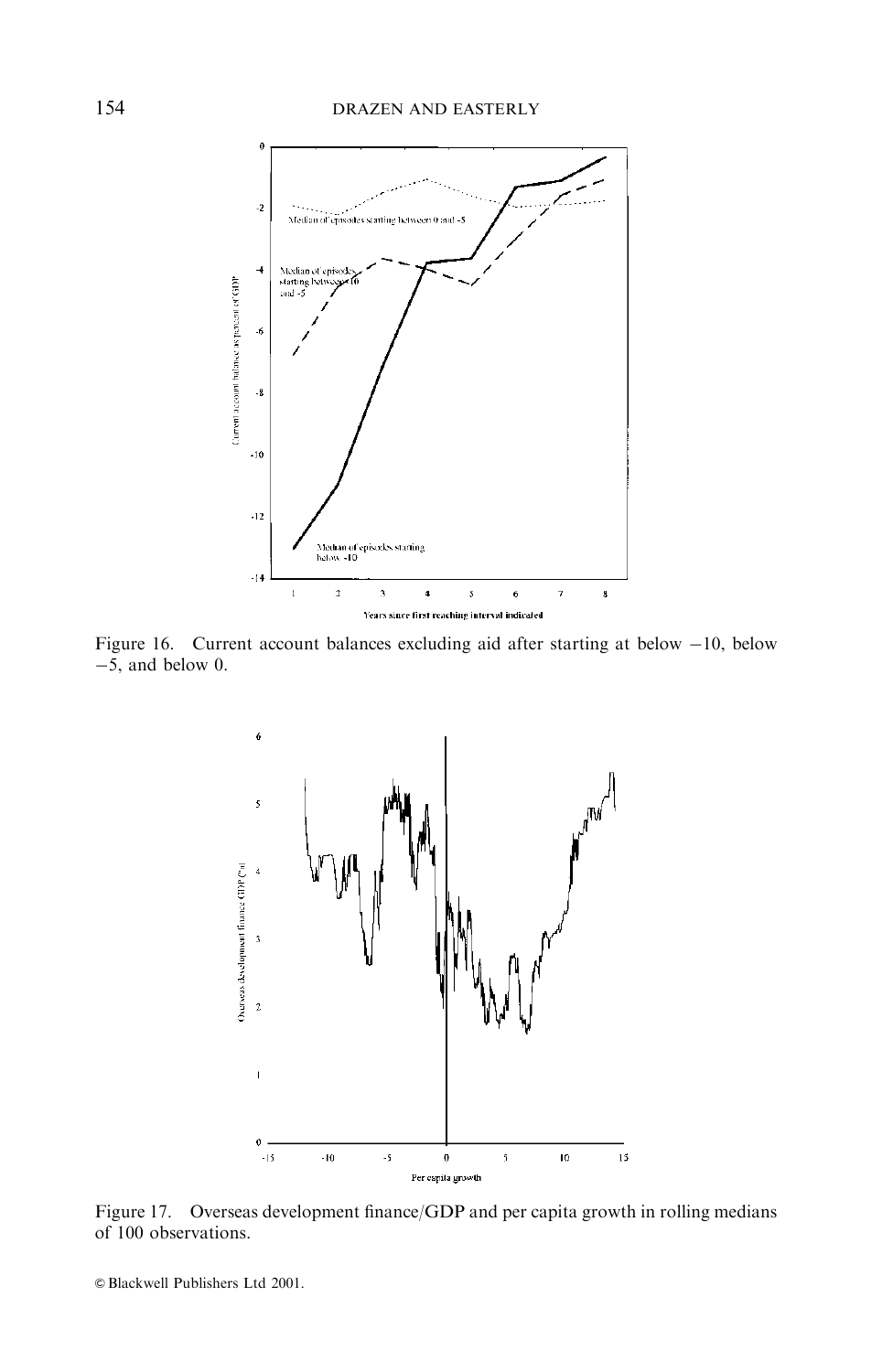

Figure 16. Current account balances excluding aid after starting at below  $-10$ , below  $-5$ , and below 0.



Figure 17. Overseas development finance/GDP and per capita growth in rolling medians of 100 observations.

© Blackwell Publishers Ltd 2001.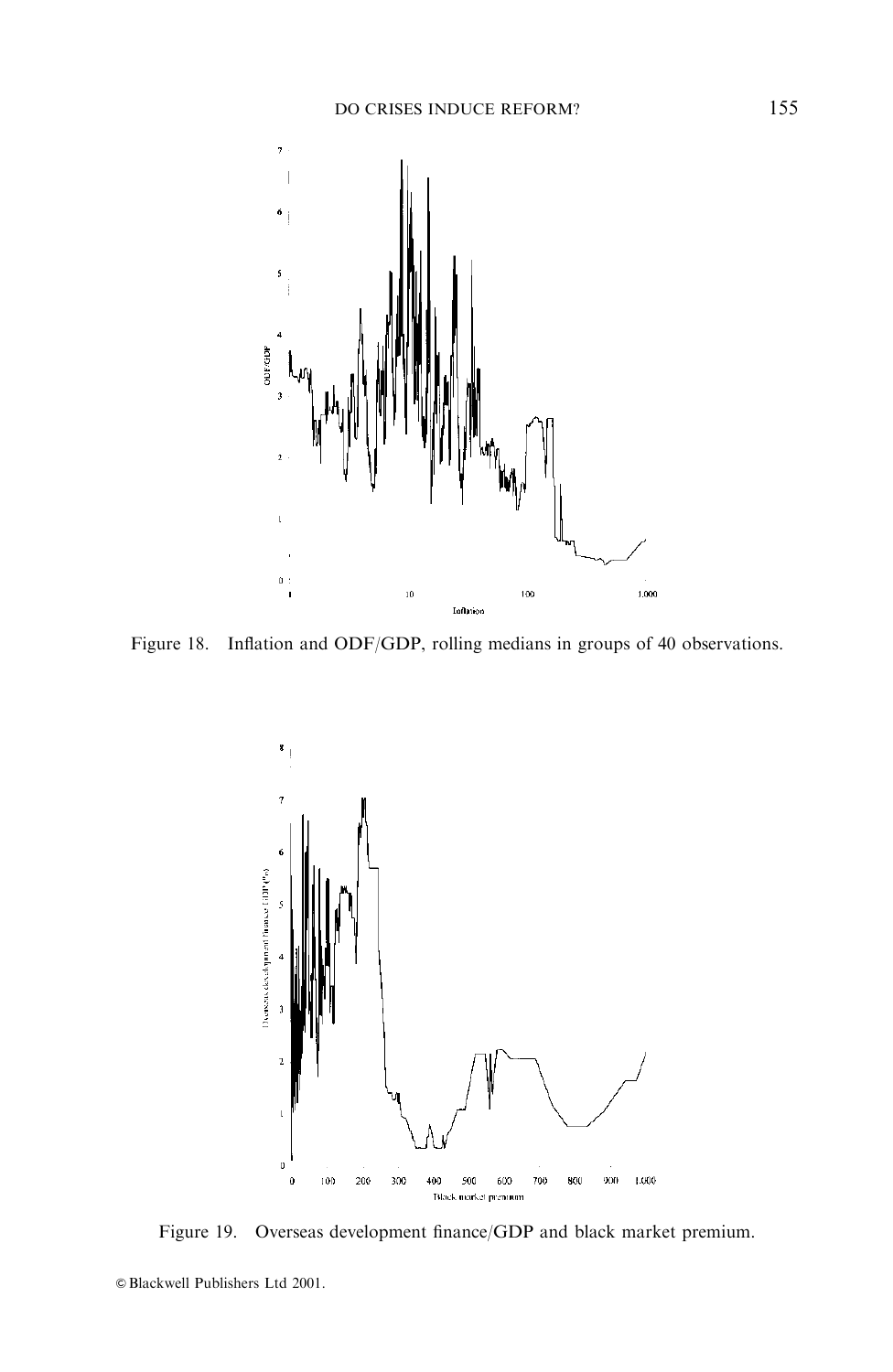

Figure 18. Inflation and ODF/GDP, rolling medians in groups of 40 observations.



Figure 19. Overseas development finance/GDP and black market premium.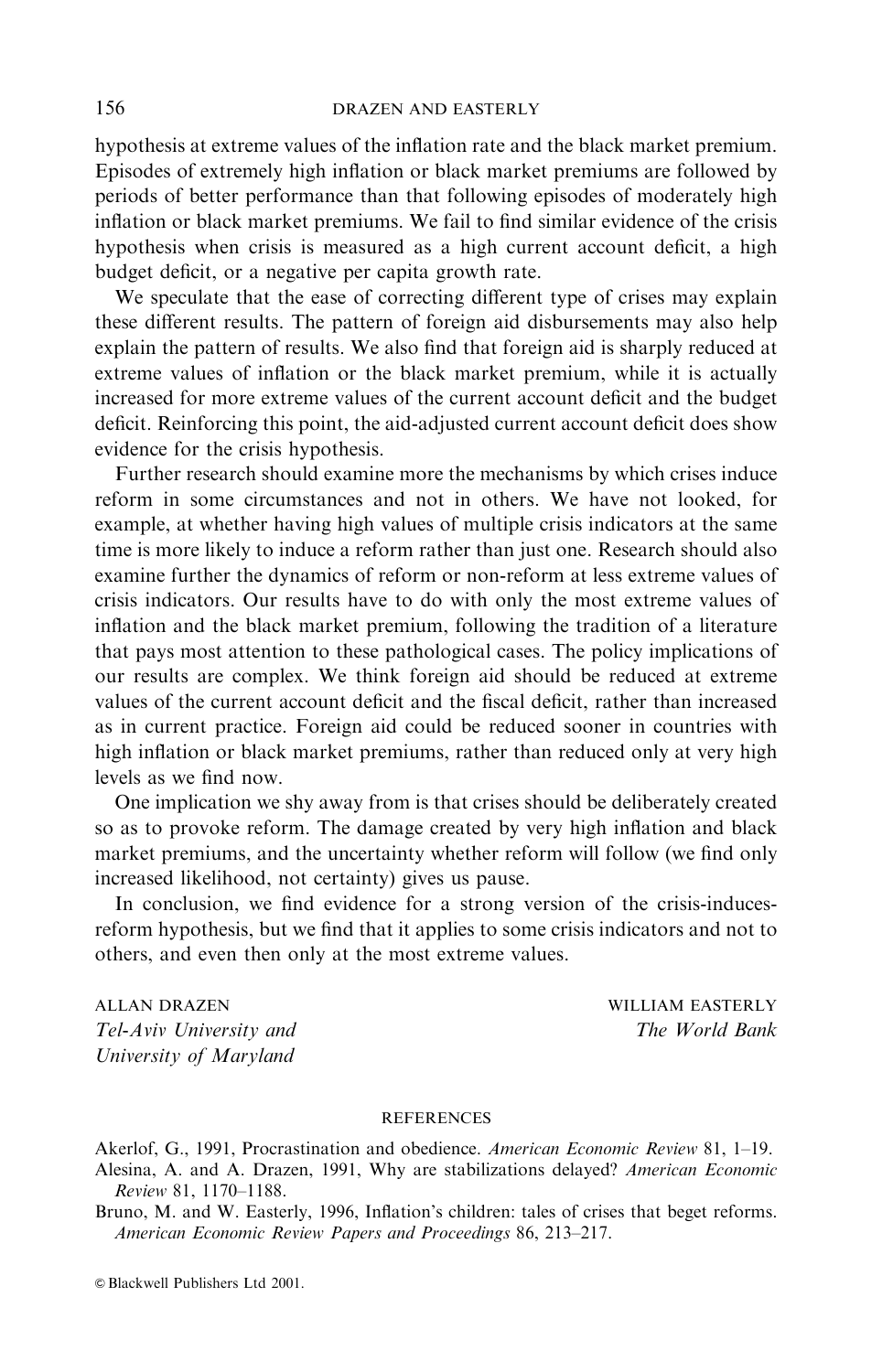hypothesis at extreme values of the inflation rate and the black market premium. Episodes of extremely high inflation or black market premiums are followed by periods of better performance than that following episodes of moderately high inflation or black market premiums. We fail to find similar evidence of the crisis hypothesis when crisis is measured as a high current account deficit, a high budget deficit, or a negative per capita growth rate.

We speculate that the ease of correcting different type of crises may explain these different results. The pattern of foreign aid disbursements may also help explain the pattern of results. We also find that foreign aid is sharply reduced at extreme values of inflation or the black market premium, while it is actually increased for more extreme values of the current account deficit and the budget deficit. Reinforcing this point, the aid-adjusted current account deficit does show evidence for the crisis hypothesis.

Further research should examine more the mechanisms by which crises induce reform in some circumstances and not in others. We have not looked, for example, at whether having high values of multiple crisis indicators at the same time is more likely to induce a reform rather than just one. Research should also examine further the dynamics of reform or non-reform at less extreme values of crisis indicators. Our results have to do with only the most extreme values of inflation and the black market premium, following the tradition of a literature that pays most attention to these pathological cases. The policy implications of our results are complex. We think foreign aid should be reduced at extreme values of the current account deficit and the fiscal deficit, rather than increased as in current practice. Foreign aid could be reduced sooner in countries with high inflation or black market premiums, rather than reduced only at very high levels as we find now.

One implication we shy away from is that crises should be deliberately created so as to provoke reform. The damage created by very high inflation and black market premiums, and the uncertainty whether reform will follow (we find only increased likelihood, not certainty) gives us pause.

In conclusion, we find evidence for a strong version of the crisis-inducesreform hypothesis, but we find that it applies to some crisis indicators and not to others, and even then only at the most extreme values.

**ALLAN DRAZEN** Tel-Aviv University and University of Maryland

**WILLIAM EASTERLY** The World Bank

### **REFERENCES**

Akerlof, G., 1991, Procrastination and obedience. American Economic Review 81, 1-19. Alesina, A. and A. Drazen, 1991, Why are stabilizations delayed? American Economic Review 81, 1170-1188.

Bruno, M. and W. Easterly, 1996, Inflation's children: tales of crises that beget reforms. American Economic Review Papers and Proceedings 86, 213-217.